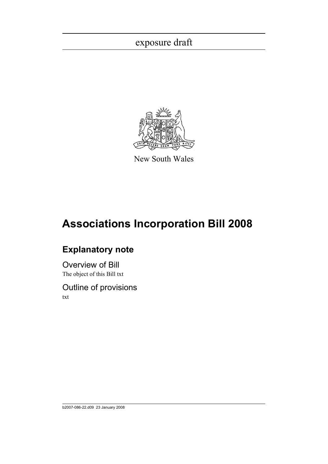

New South Wales

# **Associations Incorporation Bill 2008**

# **Explanatory note**

Overview of Bill The object of this Bill txt

Outline of provisions txt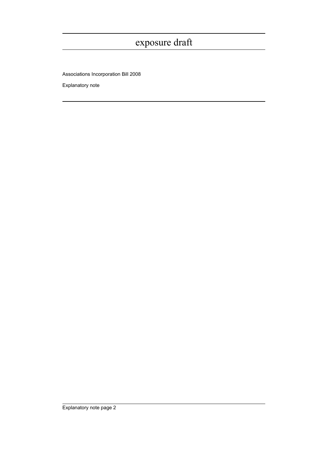Associations Incorporation Bill 2008

Explanatory note

Explanatory note page 2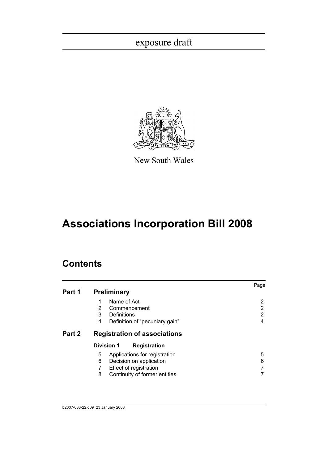

New South Wales

# **Associations Incorporation Bill 2008**

# **Contents**

| Part 1 | <b>Preliminary</b>                                                                                                                 | Page             |
|--------|------------------------------------------------------------------------------------------------------------------------------------|------------------|
|        | Name of Act<br>$\overline{2}$<br>Commencement<br>3<br>Definitions<br>Definition of "pecuniary gain"<br>4                           | 2<br>2<br>2<br>4 |
| Part 2 | <b>Registration of associations</b>                                                                                                |                  |
|        | <b>Division 1</b><br><b>Registration</b>                                                                                           |                  |
|        | 5<br>Applications for registration<br>6<br>Decision on application<br>Effect of registration<br>Continuity of former entities<br>8 | 5<br>6           |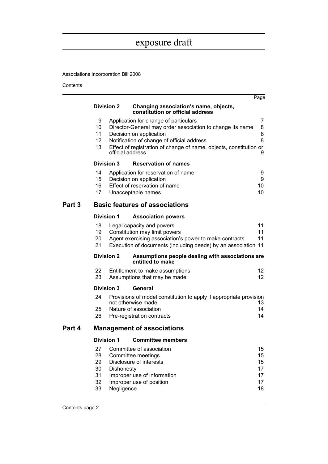Associations Incorporation Bill 2008

Contents

|        |                                        |                          |                                                                                                                                                                                                                                                                       | Page                                   |
|--------|----------------------------------------|--------------------------|-----------------------------------------------------------------------------------------------------------------------------------------------------------------------------------------------------------------------------------------------------------------------|----------------------------------------|
|        |                                        | <b>Division 2</b>        | Changing association's name, objects,<br>constitution or official address                                                                                                                                                                                             |                                        |
|        | 9<br>10<br>11<br>12<br>13              |                          | Application for change of particulars<br>Director-General may order association to change its name<br>Decision on application<br>Notification of change of official address<br>Effect of registration of change of name, objects, constitution or<br>official address | 7<br>8<br>8<br>8<br>9                  |
|        |                                        | <b>Division 3</b>        | <b>Reservation of names</b>                                                                                                                                                                                                                                           |                                        |
|        | 14<br>15<br>16<br>17                   |                          | Application for reservation of name<br>Decision on application<br>Effect of reservation of name<br>Unacceptable names                                                                                                                                                 | 9<br>9<br>10<br>10                     |
| Part 3 |                                        |                          | <b>Basic features of associations</b>                                                                                                                                                                                                                                 |                                        |
|        |                                        | <b>Division 1</b>        | <b>Association powers</b>                                                                                                                                                                                                                                             |                                        |
|        | 18<br>19<br>20<br>21                   |                          | Legal capacity and powers<br>Constitution may limit powers<br>Agent exercising association's power to make contracts<br>Execution of documents (including deeds) by an association 11                                                                                 | 11<br>11<br>11                         |
|        |                                        | <b>Division 2</b>        | Assumptions people dealing with associations are<br>entitled to make                                                                                                                                                                                                  |                                        |
|        | 22<br>23                               |                          | Entitlement to make assumptions<br>Assumptions that may be made                                                                                                                                                                                                       | $12 \overline{ }$<br>12 <sup>2</sup>   |
|        |                                        | <b>Division 3</b>        | General                                                                                                                                                                                                                                                               |                                        |
|        | 24                                     |                          | Provisions of model constitution to apply if appropriate provision<br>not otherwise made                                                                                                                                                                              | 13                                     |
|        | 25<br>26                               |                          | Nature of association<br>Pre-registration contracts                                                                                                                                                                                                                   | 14<br>14                               |
| Part 4 |                                        |                          | <b>Management of associations</b>                                                                                                                                                                                                                                     |                                        |
|        | <b>Division 1</b>                      |                          | <b>Committee members</b>                                                                                                                                                                                                                                              |                                        |
|        | 27<br>28<br>29<br>30<br>31<br>32<br>33 | Dishonesty<br>Negligence | Committee of association<br>Committee meetings<br>Disclosure of interests<br>Improper use of information<br>Improper use of position                                                                                                                                  | 15<br>15<br>15<br>17<br>17<br>17<br>18 |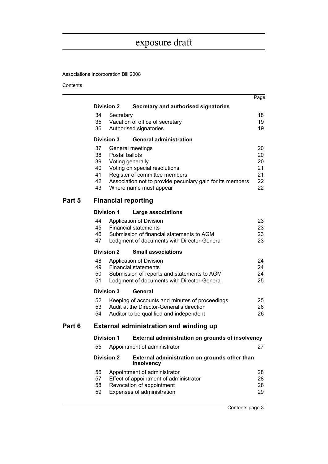Associations Incorporation Bill 2008

Contents

|        |                            |                                                                                     | Page     |
|--------|----------------------------|-------------------------------------------------------------------------------------|----------|
|        | <b>Division 2</b>          | Secretary and authorised signatories                                                |          |
|        | 34<br>Secretary            |                                                                                     | 18       |
|        | 35                         | Vacation of office of secretary                                                     | 19       |
|        | 36                         | Authorised signatories                                                              | 19       |
|        | <b>Division 3</b>          | <b>General administration</b>                                                       |          |
|        | 37<br>General meetings     |                                                                                     | 20       |
|        | 38<br>Postal ballots       |                                                                                     | 20       |
|        | 39<br>Voting generally     |                                                                                     | 20       |
|        | 40                         | Voting on special resolutions                                                       | 21       |
|        | 41                         | Register of committee members                                                       | 21       |
|        | 42<br>43                   | Association not to provide pecuniary gain for its members<br>Where name must appear | 22<br>22 |
| Part 5 | <b>Financial reporting</b> |                                                                                     |          |
|        | <b>Division 1</b>          | <b>Large associations</b>                                                           |          |
|        | 44                         | Application of Division                                                             | 23       |
|        | 45                         | <b>Financial statements</b>                                                         | 23       |
|        | 46                         | Submission of financial statements to AGM                                           | 23       |
|        | 47                         | Lodgment of documents with Director-General                                         | 23       |
|        | <b>Division 2</b>          | <b>Small associations</b>                                                           |          |
|        | 48                         | Application of Division                                                             | 24       |
|        | 49                         | <b>Financial statements</b>                                                         | 24       |
|        | 50                         | Submission of reports and statements to AGM                                         | 24       |
|        | 51                         | Lodgment of documents with Director-General                                         | 25       |
|        | <b>Division 3</b>          | General                                                                             |          |
|        | 52                         | Keeping of accounts and minutes of proceedings                                      | 25       |
|        | 53                         | Audit at the Director-General's direction                                           | 26       |
|        | 54                         | Auditor to be qualified and independent                                             | 26       |
|        |                            |                                                                                     |          |
|        |                            | <b>External administration and winding up</b>                                       |          |
| Part 6 | Division 1                 | External administration on grounds of insolvency                                    |          |
|        | 55                         | Appointment of administrator                                                        | 27       |
|        | <b>Division 2</b>          | External administration on grounds other than<br>insolvency                         |          |
|        | 56                         | Appointment of administrator                                                        | 28       |
|        | 57                         | Effect of appointment of administrator                                              | 28       |
|        | 58                         | Revocation of appointment                                                           | 28       |

Contents page 3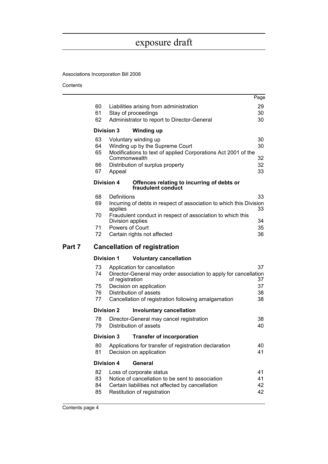Associations Incorporation Bill 2008

Contents

|        |          |                   |                                                                     | Page     |
|--------|----------|-------------------|---------------------------------------------------------------------|----------|
|        | 60       |                   | Liabilities arising from administration                             | 29       |
|        | 61       |                   | Stay of proceedings                                                 | 30       |
|        | 62       |                   | Administrator to report to Director-General                         | 30       |
|        |          | <b>Division 3</b> | <b>Winding up</b>                                                   |          |
|        | 63       |                   | Voluntary winding up                                                | 30       |
|        | 64       |                   | Winding up by the Supreme Court                                     | 30       |
|        | 65       |                   | Modifications to text of applied Corporations Act 2001 of the       |          |
|        |          | Commonwealth      |                                                                     | 32       |
|        | 66<br>67 | Appeal            | Distribution of surplus property                                    | 32<br>33 |
|        |          |                   |                                                                     |          |
|        |          | <b>Division 4</b> | Offences relating to incurring of debts or<br>fraudulent conduct    |          |
|        | 68       | Definitions       |                                                                     | 33       |
|        | 69       | applies           | Incurring of debts in respect of association to which this Division | 33       |
|        | 70       |                   | Fraudulent conduct in respect of association to which this          |          |
|        |          | Division applies  |                                                                     | 34       |
|        | 71       | Powers of Court   |                                                                     | 35       |
|        | 72       |                   | Certain rights not affected                                         | 36       |
| Part 7 |          |                   | <b>Cancellation of registration</b>                                 |          |
|        |          | <b>Division 1</b> | <b>Voluntary cancellation</b>                                       |          |
|        | 73       |                   | Application for cancellation                                        | 37       |
|        | 74       | of registration   | Director-General may order association to apply for cancellation    | 37       |
|        | 75       |                   | Decision on application                                             | 37       |
|        | 76       |                   | Distribution of assets                                              | 38       |
|        | 77       |                   | Cancellation of registration following amalgamation                 | 38       |
|        |          | <b>Division 2</b> | <b>Involuntary cancellation</b>                                     |          |
|        | 78       |                   | Director-General may cancel registration                            | 38       |
|        | 79       |                   | Distribution of assets                                              | 40       |
|        |          | Division 3        | <b>Transfer of incorporation</b>                                    |          |
|        | 80       |                   | Applications for transfer of registration declaration               | 40       |
|        | 81       |                   | Decision on application                                             | 41       |
|        |          | <b>Division 4</b> | <b>General</b>                                                      |          |
|        | 82       |                   | Loss of corporate status                                            | 41       |
|        | 83       |                   | Notice of cancellation to be sent to association                    | 41       |
|        | 84       |                   | Certain liabilities not affected by cancellation                    | 42       |
|        | 85       |                   | Restitution of registration                                         | 42       |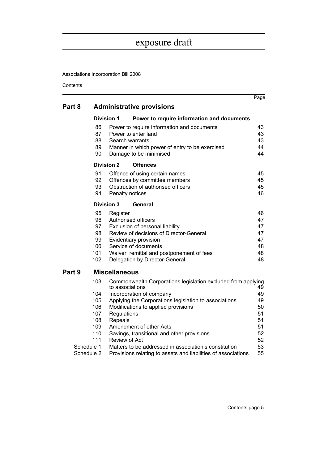Associations Incorporation Bill 2008

Contents

|        |            |                      |                                                               | Page     |
|--------|------------|----------------------|---------------------------------------------------------------|----------|
| Part 8 |            |                      | <b>Administrative provisions</b>                              |          |
|        |            | <b>Division 1</b>    | Power to require information and documents                    |          |
|        | 86         |                      | Power to require information and documents                    | 43       |
|        | 87         |                      | Power to enter land                                           | 43       |
|        | 88         | Search warrants      |                                                               | 43       |
|        | 89         |                      | Manner in which power of entry to be exercised                | 44       |
|        | 90         |                      | Damage to be minimised                                        | 44       |
|        |            | <b>Division 2</b>    | <b>Offences</b>                                               |          |
|        | 91         |                      | Offence of using certain names                                | 45       |
|        | 92         |                      | Offences by committee members                                 | 45       |
|        | 93         |                      | Obstruction of authorised officers                            | 45       |
|        | 94         | Penalty notices      |                                                               | 46       |
|        |            | <b>Division 3</b>    | General                                                       |          |
|        | 95         | Register             |                                                               | 46       |
|        | 96         |                      | Authorised officers                                           | 47       |
|        | 97         |                      | Exclusion of personal liability                               | 47       |
|        | 98         |                      | Review of decisions of Director-General                       | 47       |
|        | 99         |                      | Evidentiary provision                                         | 47       |
|        | 100        |                      | Service of documents                                          | 48       |
|        | 101<br>102 |                      | Waiver, remittal and postponement of fees                     | 48<br>48 |
|        |            |                      | Delegation by Director-General                                |          |
| Part 9 |            | <b>Miscellaneous</b> |                                                               |          |
|        | 103        | to associations      | Commonwealth Corporations legislation excluded from applying  | 49       |
|        | 104        |                      | Incorporation of company                                      | 49       |
|        | 105        |                      | Applying the Corporations legislation to associations         | 49       |
|        | 106        |                      | Modifications to applied provisions                           | 50       |
|        | 107        | Regulations          |                                                               | 51       |
|        | 108        | Repeals              |                                                               | 51       |
|        | 109        |                      | Amendment of other Acts                                       | 51       |
|        | 110        |                      | Savings, transitional and other provisions                    | 52       |
|        | 111        | Review of Act        |                                                               | 52       |
|        | Schedule 1 |                      | Matters to be addressed in association's constitution         | 53       |
|        | Schedule 2 |                      | Provisions relating to assets and liabilities of associations | 55       |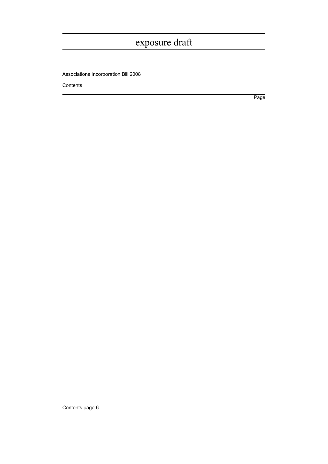Associations Incorporation Bill 2008

Contents

Page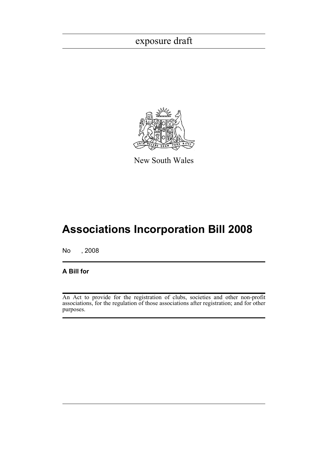

New South Wales

# **Associations Incorporation Bill 2008**

No , 2008

# **A Bill for**

An Act to provide for the registration of clubs, societies and other non-profit associations, for the regulation of those associations after registration; and for other purposes.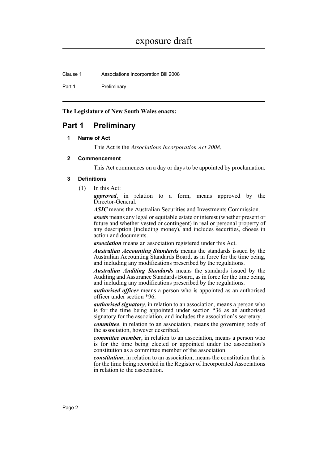Clause 1 Associations Incorporation Bill 2008

Part 1 Preliminary

**The Legislature of New South Wales enacts:**

# <span id="page-9-1"></span><span id="page-9-0"></span>**Part 1 Preliminary**

## **1 Name of Act**

This Act is the *Associations Incorporation Act 2008*.

## <span id="page-9-2"></span>**2 Commencement**

This Act commences on a day or days to be appointed by proclamation.

## <span id="page-9-3"></span>**3 Definitions**

(1) In this Act:

*approved*, in relation to a form, means approved by the Director-General.

*ASIC* means the Australian Securities and Investments Commission.

*assets* means any legal or equitable estate or interest (whether present or future and whether vested or contingent) in real or personal property of any description (including money), and includes securities, choses in action and documents.

*association* means an association registered under this Act.

*Australian Accounting Standards* means the standards issued by the Australian Accounting Standards Board, as in force for the time being, and including any modifications prescribed by the regulations.

*Australian Auditing Standards* means the standards issued by the Auditing and Assurance Standards Board, as in force for the time being, and including any modifications prescribed by the regulations.

*authorised officer* means a person who is appointed as an authorised officer under section \*96.

*authorised signatory*, in relation to an association, means a person who is for the time being appointed under section \*36 as an authorised signatory for the association, and includes the association's secretary.

*committee*, in relation to an association, means the governing body of the association, however described.

*committee member*, in relation to an association, means a person who is for the time being elected or appointed under the association's constitution as a committee member of the association.

*constitution*, in relation to an association, means the constitution that is for the time being recorded in the Register of Incorporated Associations in relation to the association.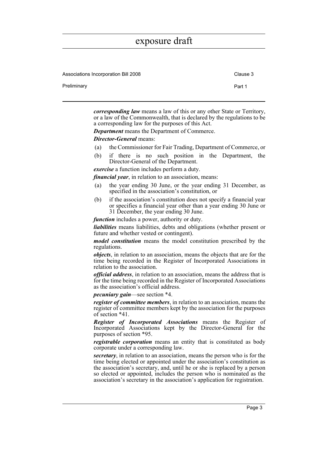| Associations Incorporation Bill 2008 | Clause 3 |
|--------------------------------------|----------|
| Preliminary                          | Part 1   |

*corresponding law* means a law of this or any other State or Territory, or a law of the Commonwealth, that is declared by the regulations to be a corresponding law for the purposes of this Act.

*Department* means the Department of Commerce.

#### *Director-General* means:

- (a) the Commissioner for Fair Trading, Department of Commerce, or
- (b) if there is no such position in the Department, the Director-General of the Department.

*exercise* a function includes perform a duty.

*financial year*, in relation to an association, means:

- (a) the year ending 30 June, or the year ending 31 December, as specified in the association's constitution, or
- (b) if the association's constitution does not specify a financial year or specifies a financial year other than a year ending 30 June or 31 December, the year ending 30 June.

*function* includes a power, authority or duty.

*liabilities* means liabilities, debts and obligations (whether present or future and whether vested or contingent).

*model constitution* means the model constitution prescribed by the regulations.

*objects*, in relation to an association, means the objects that are for the time being recorded in the Register of Incorporated Associations in relation to the association.

*official address*, in relation to an association, means the address that is for the time being recorded in the Register of Incorporated Associations as the association's official address.

*pecuniary gain*—see section \*4.

*register of committee members*, in relation to an association, means the register of committee members kept by the association for the purposes of section \*41.

*Register of Incorporated Associations* means the Register of Incorporated Associations kept by the Director-General for the purposes of section \*95.

*registrable corporation* means an entity that is constituted as body corporate under a corresponding law.

*secretary*, in relation to an association, means the person who is for the time being elected or appointed under the association's constitution as the association's secretary, and, until he or she is replaced by a person so elected or appointed, includes the person who is nominated as the association's secretary in the association's application for registration.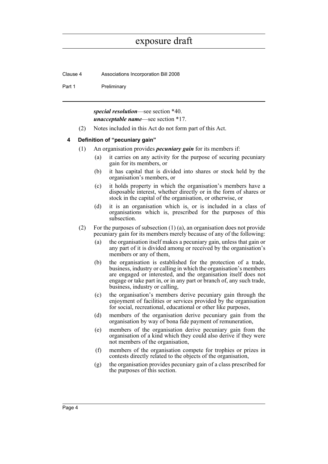Clause 4 Associations Incorporation Bill 2008

Part 1 Preliminary

*special resolution*—see section \*40. *unacceptable name*—see section \*17.

(2) Notes included in this Act do not form part of this Act.

# <span id="page-11-0"></span>**4 Definition of "pecuniary gain"**

- (1) An organisation provides *pecuniary gain* for its members if:
	- (a) it carries on any activity for the purpose of securing pecuniary gain for its members, or
	- (b) it has capital that is divided into shares or stock held by the organisation's members, or
	- (c) it holds property in which the organisation's members have a disposable interest, whether directly or in the form of shares or stock in the capital of the organisation, or otherwise, or
	- (d) it is an organisation which is, or is included in a class of organisations which is, prescribed for the purposes of this subsection.
- (2) For the purposes of subsection (1) (a), an organisation does not provide pecuniary gain for its members merely because of any of the following:
	- (a) the organisation itself makes a pecuniary gain, unless that gain or any part of it is divided among or received by the organisation's members or any of them,
	- (b) the organisation is established for the protection of a trade, business, industry or calling in which the organisation's members are engaged or interested, and the organisation itself does not engage or take part in, or in any part or branch of, any such trade, business, industry or calling,
	- (c) the organisation's members derive pecuniary gain through the enjoyment of facilities or services provided by the organisation for social, recreational, educational or other like purposes,
	- (d) members of the organisation derive pecuniary gain from the organisation by way of bona fide payment of remuneration,
	- (e) members of the organisation derive pecuniary gain from the organisation of a kind which they could also derive if they were not members of the organisation,
	- (f) members of the organisation compete for trophies or prizes in contests directly related to the objects of the organisation,
	- (g) the organisation provides pecuniary gain of a class prescribed for the purposes of this section.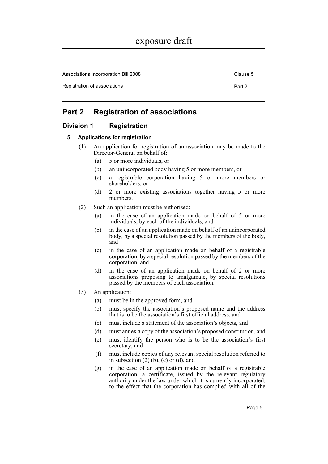Associations Incorporation Bill 2008 Clause 5 Registration of associations **Part 2** 

# <span id="page-12-0"></span>**Part 2 Registration of associations**

## <span id="page-12-2"></span><span id="page-12-1"></span>**Division 1 Registration**

#### **5 Applications for registration**

- (1) An application for registration of an association may be made to the Director-General on behalf of:
	- (a) 5 or more individuals, or
	- (b) an unincorporated body having 5 or more members, or
	- (c) a registrable corporation having 5 or more members or shareholders, or
	- (d) 2 or more existing associations together having 5 or more members.
- (2) Such an application must be authorised:
	- (a) in the case of an application made on behalf of 5 or more individuals, by each of the individuals, and
	- (b) in the case of an application made on behalf of an unincorporated body, by a special resolution passed by the members of the body, and
	- (c) in the case of an application made on behalf of a registrable corporation, by a special resolution passed by the members of the corporation, and
	- (d) in the case of an application made on behalf of 2 or more associations proposing to amalgamate, by special resolutions passed by the members of each association.
- (3) An application:
	- (a) must be in the approved form, and
	- (b) must specify the association's proposed name and the address that is to be the association's first official address, and
	- (c) must include a statement of the association's objects, and
	- (d) must annex a copy of the association's proposed constitution, and
	- (e) must identify the person who is to be the association's first secretary, and
	- (f) must include copies of any relevant special resolution referred to in subsection  $(2)$  (b), (c) or (d), and
	- (g) in the case of an application made on behalf of a registrable corporation, a certificate, issued by the relevant regulatory authority under the law under which it is currently incorporated, to the effect that the corporation has complied with all of the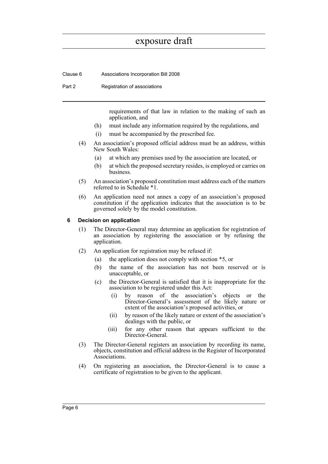Clause 6 Associations Incorporation Bill 2008

Part 2 Registration of associations

requirements of that law in relation to the making of such an application, and

- (h) must include any information required by the regulations, and
- (i) must be accompanied by the prescribed fee.
- (4) An association's proposed official address must be an address, within New South Wales:
	- (a) at which any premises used by the association are located, or
	- (b) at which the proposed secretary resides, is employed or carries on business.
- (5) An association's proposed constitution must address each of the matters referred to in Schedule \*1.
- (6) An application need not annex a copy of an association's proposed constitution if the application indicates that the association is to be governed solely by the model constitution.

#### <span id="page-13-0"></span>**6 Decision on application**

- (1) The Director-General may determine an application for registration of an association by registering the association or by refusing the application.
- (2) An application for registration may be refused if:
	- (a) the application does not comply with section \*5, or
	- (b) the name of the association has not been reserved or is unacceptable, or
	- (c) the Director-General is satisfied that it is inappropriate for the association to be registered under this Act:
		- (i) by reason of the association's objects or the Director-General's assessment of the likely nature or extent of the association's proposed activities, or
		- (ii) by reason of the likely nature or extent of the association's dealings with the public, or
		- (iii) for any other reason that appears sufficient to the Director-General.
- (3) The Director-General registers an association by recording its name, objects, constitution and official address in the Register of Incorporated Associations.
- (4) On registering an association, the Director-General is to cause a certificate of registration to be given to the applicant.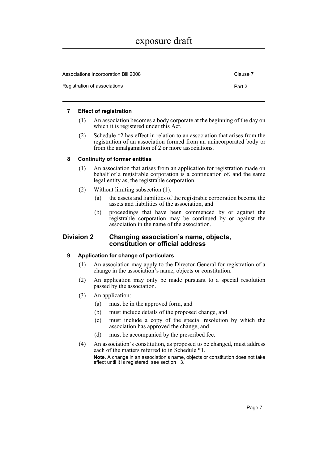| Associations Incorporation Bill 2008 | Clause 7 |
|--------------------------------------|----------|
| Registration of associations         | Part 2   |

#### <span id="page-14-0"></span>**7 Effect of registration**

- (1) An association becomes a body corporate at the beginning of the day on which it is registered under this Act.
- (2) Schedule \*2 has effect in relation to an association that arises from the registration of an association formed from an unincorporated body or from the amalgamation of 2 or more associations.

#### <span id="page-14-1"></span>**8 Continuity of former entities**

- (1) An association that arises from an application for registration made on behalf of a registrable corporation is a continuation of, and the same legal entity as, the registrable corporation.
- (2) Without limiting subsection (1):
	- (a) the assets and liabilities of the registrable corporation become the assets and liabilities of the association, and
	- (b) proceedings that have been commenced by or against the registrable corporation may be continued by or against the association in the name of the association.

## <span id="page-14-2"></span>**Division 2 Changing association's name, objects, constitution or official address**

## <span id="page-14-3"></span>**9 Application for change of particulars**

- (1) An association may apply to the Director-General for registration of a change in the association's name, objects or constitution.
- (2) An application may only be made pursuant to a special resolution passed by the association.
- (3) An application:
	- (a) must be in the approved form, and
	- (b) must include details of the proposed change, and
	- (c) must include a copy of the special resolution by which the association has approved the change, and
	- (d) must be accompanied by the prescribed fee.
- (4) An association's constitution, as proposed to be changed, must address each of the matters referred to in Schedule \*1.

**Note.** A change in an association's name, objects or constitution does not take effect until it is registered: see section 13.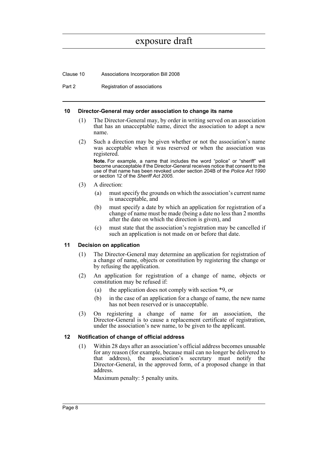Clause 10 Associations Incorporation Bill 2008

Part 2 Registration of associations

#### <span id="page-15-0"></span>**10 Director-General may order association to change its name**

- (1) The Director-General may, by order in writing served on an association that has an unacceptable name, direct the association to adopt a new name.
- (2) Such a direction may be given whether or not the association's name was acceptable when it was reserved or when the association was registered.

**Note.** For example, a name that includes the word "police" or "sheriff" will become unacceptable if the Director-General receives notice that consent to the use of that name has been revoked under section 204B of the *Police Act 1990* or section 12 of the *Sheriff Act 2005*.

- (3) A direction:
	- (a) must specify the grounds on which the association's current name is unacceptable, and
	- (b) must specify a date by which an application for registration of a change of name must be made (being a date no less than 2 months after the date on which the direction is given), and
	- (c) must state that the association's registration may be cancelled if such an application is not made on or before that date.

#### <span id="page-15-1"></span>**11 Decision on application**

- (1) The Director-General may determine an application for registration of a change of name, objects or constitution by registering the change or by refusing the application.
- (2) An application for registration of a change of name, objects or constitution may be refused if:
	- (a) the application does not comply with section \*9, or
	- (b) in the case of an application for a change of name, the new name has not been reserved or is unacceptable.
- (3) On registering a change of name for an association, the Director-General is to cause a replacement certificate of registration, under the association's new name, to be given to the applicant.

#### <span id="page-15-2"></span>**12 Notification of change of official address**

(1) Within 28 days after an association's official address becomes unusable for any reason (for example, because mail can no longer be delivered to that address), the association's secretary must notify the Director-General, in the approved form, of a proposed change in that address.

Maximum penalty: 5 penalty units.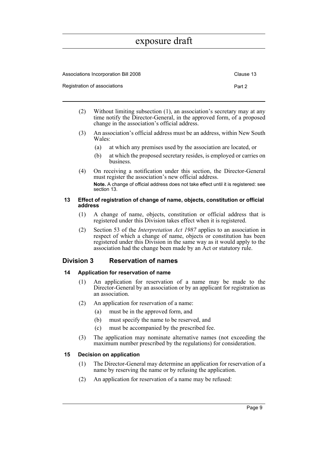| Associations Incorporation Bill 2008 | Clause 13 |
|--------------------------------------|-----------|
| Registration of associations         | Part 2    |

- (2) Without limiting subsection (1), an association's secretary may at any time notify the Director-General, in the approved form, of a proposed change in the association's official address.
- (3) An association's official address must be an address, within New South Wales:
	- (a) at which any premises used by the association are located, or
	- (b) at which the proposed secretary resides, is employed or carries on business.
- (4) On receiving a notification under this section, the Director-General must register the association's new official address. **Note.** A change of official address does not take effect until it is registered: see section 13.

#### <span id="page-16-0"></span>**13 Effect of registration of change of name, objects, constitution or official address**

- (1) A change of name, objects, constitution or official address that is registered under this Division takes effect when it is registered.
- (2) Section 53 of the *Interpretation Act 1987* applies to an association in respect of which a change of name, objects or constitution has been registered under this Division in the same way as it would apply to the association had the change been made by an Act or statutory rule.

# <span id="page-16-1"></span>**Division 3 Reservation of names**

# <span id="page-16-2"></span>**14 Application for reservation of name**

- (1) An application for reservation of a name may be made to the Director-General by an association or by an applicant for registration as an association.
- (2) An application for reservation of a name:
	- (a) must be in the approved form, and
	- (b) must specify the name to be reserved, and
	- (c) must be accompanied by the prescribed fee.
- (3) The application may nominate alternative names (not exceeding the maximum number prescribed by the regulations) for consideration.

## <span id="page-16-3"></span>**15 Decision on application**

- (1) The Director-General may determine an application for reservation of a name by reserving the name or by refusing the application.
- (2) An application for reservation of a name may be refused: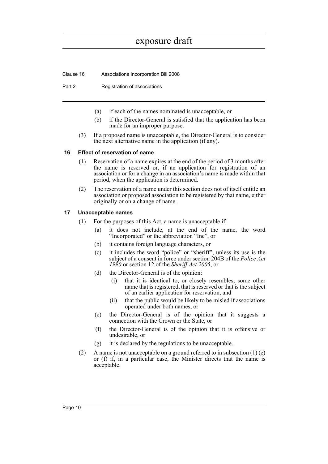Clause 16 Associations Incorporation Bill 2008

Part 2 Registration of associations

- (a) if each of the names nominated is unacceptable, or
- (b) if the Director-General is satisfied that the application has been made for an improper purpose.
- (3) If a proposed name is unacceptable, the Director-General is to consider the next alternative name in the application (if any).

#### <span id="page-17-0"></span>**16 Effect of reservation of name**

- (1) Reservation of a name expires at the end of the period of 3 months after the name is reserved or, if an application for registration of an association or for a change in an association's name is made within that period, when the application is determined.
- (2) The reservation of a name under this section does not of itself entitle an association or proposed association to be registered by that name, either originally or on a change of name.

#### <span id="page-17-1"></span>**17 Unacceptable names**

- (1) For the purposes of this Act, a name is unacceptable if:
	- (a) it does not include, at the end of the name, the word "Incorporated" or the abbreviation "Inc", or
	- (b) it contains foreign language characters, or
	- (c) it includes the word "police" or "sheriff", unless its use is the subject of a consent in force under section 204B of the *Police Act 1990* or section 12 of the *Sheriff Act 2005*, or
	- (d) the Director-General is of the opinion:
		- (i) that it is identical to, or closely resembles, some other name that is registered, that is reserved or that is the subject of an earlier application for reservation, and
		- (ii) that the public would be likely to be misled if associations operated under both names, or
	- (e) the Director-General is of the opinion that it suggests a connection with the Crown or the State, or
	- (f) the Director-General is of the opinion that it is offensive or undesirable, or
	- (g) it is declared by the regulations to be unacceptable.
- (2) A name is not unacceptable on a ground referred to in subsection  $(1)$  (e) or (f) if, in a particular case, the Minister directs that the name is acceptable.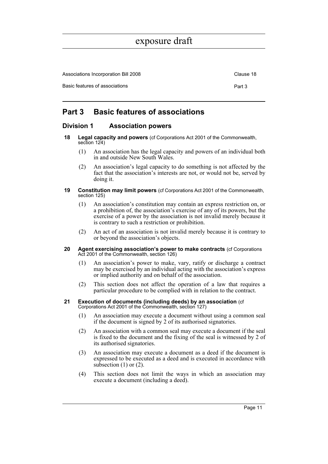Associations Incorporation Bill 2008 Clause 18

Basic features of associations **Part 3** 

# <span id="page-18-0"></span>**Part 3 Basic features of associations**

## <span id="page-18-1"></span>**Division 1 Association powers**

- <span id="page-18-2"></span>**18 Legal capacity and powers** (cf Corporations Act 2001 of the Commonwealth, section 124)
	- (1) An association has the legal capacity and powers of an individual both in and outside New South Wales.
	- (2) An association's legal capacity to do something is not affected by the fact that the association's interests are not, or would not be, served by doing it.

#### <span id="page-18-3"></span>**19 Constitution may limit powers** (cf Corporations Act 2001 of the Commonwealth, section 125)

- (1) An association's constitution may contain an express restriction on, or a prohibition of, the association's exercise of any of its powers, but the exercise of a power by the association is not invalid merely because it is contrary to such a restriction or prohibition.
- (2) An act of an association is not invalid merely because it is contrary to or beyond the association's objects.
- <span id="page-18-4"></span>**20 Agent exercising association's power to make contracts (cf Corporations)** Act 2001 of the Commonwealth, section 126)
	- (1) An association's power to make, vary, ratify or discharge a contract may be exercised by an individual acting with the association's express or implied authority and on behalf of the association.
	- (2) This section does not affect the operation of a law that requires a particular procedure to be complied with in relation to the contract.
- <span id="page-18-5"></span>**21 Execution of documents (including deeds) by an association** (cf Corporations Act 2001 of the Commonwealth, section 127)
	- (1) An association may execute a document without using a common seal if the document is signed by 2 of its authorised signatories.
	- (2) An association with a common seal may execute a document if the seal is fixed to the document and the fixing of the seal is witnessed by 2 of its authorised signatories.
	- (3) An association may execute a document as a deed if the document is expressed to be executed as a deed and is executed in accordance with subsection  $(1)$  or  $(2)$ .
	- (4) This section does not limit the ways in which an association may execute a document (including a deed).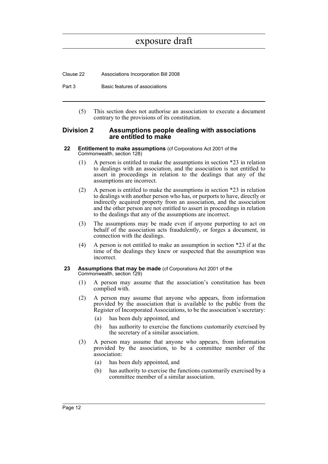Clause 22 Associations Incorporation Bill 2008

Part 3 Basic features of associations

(5) This section does not authorise an association to execute a document contrary to the provisions of its constitution.

## <span id="page-19-0"></span>**Division 2 Assumptions people dealing with associations are entitled to make**

#### <span id="page-19-1"></span>**22 Entitlement to make assumptions** (cf Corporations Act 2001 of the Commonwealth, section 128)

- (1) A person is entitled to make the assumptions in section \*23 in relation to dealings with an association, and the association is not entitled to assert in proceedings in relation to the dealings that any of the assumptions are incorrect.
- (2) A person is entitled to make the assumptions in section \*23 in relation to dealings with another person who has, or purports to have, directly or indirectly acquired property from an association, and the association and the other person are not entitled to assert in proceedings in relation to the dealings that any of the assumptions are incorrect.
- (3) The assumptions may be made even if anyone purporting to act on behalf of the association acts fraudulently, or forges a document, in connection with the dealings.
- (4) A person is not entitled to make an assumption in section \*23 if at the time of the dealings they knew or suspected that the assumption was incorrect.

#### <span id="page-19-2"></span>**23 Assumptions that may be made** (cf Corporations Act 2001 of the Commonwealth, section 129)

- (1) A person may assume that the association's constitution has been complied with.
- (2) A person may assume that anyone who appears, from information provided by the association that is available to the public from the Register of Incorporated Associations, to be the association's secretary:
	- (a) has been duly appointed, and
	- (b) has authority to exercise the functions customarily exercised by the secretary of a similar association.
- (3) A person may assume that anyone who appears, from information provided by the association, to be a committee member of the association:
	- (a) has been duly appointed, and
	- (b) has authority to exercise the functions customarily exercised by a committee member of a similar association.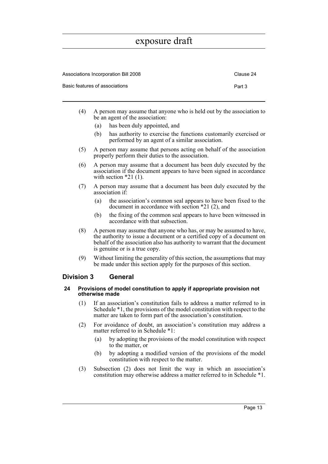| Associations Incorporation Bill 2008 | Clause 24 |
|--------------------------------------|-----------|
| Basic features of associations       | Part 3    |

- (4) A person may assume that anyone who is held out by the association to be an agent of the association:
	- (a) has been duly appointed, and
	- (b) has authority to exercise the functions customarily exercised or performed by an agent of a similar association.
- (5) A person may assume that persons acting on behalf of the association properly perform their duties to the association.
- (6) A person may assume that a document has been duly executed by the association if the document appears to have been signed in accordance with section  $*21$  (1).
- (7) A person may assume that a document has been duly executed by the association if:
	- (a) the association's common seal appears to have been fixed to the document in accordance with section \*21 (2), and
	- (b) the fixing of the common seal appears to have been witnessed in accordance with that subsection.
- (8) A person may assume that anyone who has, or may be assumed to have, the authority to issue a document or a certified copy of a document on behalf of the association also has authority to warrant that the document is genuine or is a true copy.
- (9) Without limiting the generality of this section, the assumptions that may be made under this section apply for the purposes of this section.

# <span id="page-20-0"></span>**Division 3 General**

#### <span id="page-20-1"></span>**24 Provisions of model constitution to apply if appropriate provision not otherwise made**

- (1) If an association's constitution fails to address a matter referred to in Schedule \*1, the provisions of the model constitution with respect to the matter are taken to form part of the association's constitution.
- (2) For avoidance of doubt, an association's constitution may address a matter referred to in Schedule \*1:
	- (a) by adopting the provisions of the model constitution with respect to the matter, or
	- (b) by adopting a modified version of the provisions of the model constitution with respect to the matter.
- (3) Subsection (2) does not limit the way in which an association's constitution may otherwise address a matter referred to in Schedule \*1.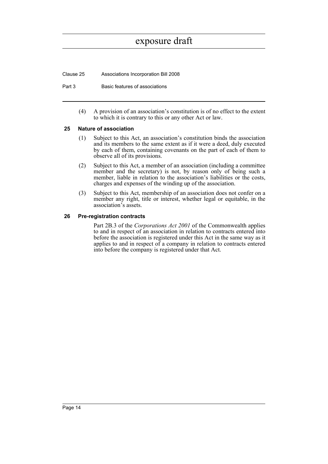Clause 25 Associations Incorporation Bill 2008

Part 3 Basic features of associations

(4) A provision of an association's constitution is of no effect to the extent to which it is contrary to this or any other Act or law.

#### <span id="page-21-0"></span>**25 Nature of association**

- (1) Subject to this Act, an association's constitution binds the association and its members to the same extent as if it were a deed, duly executed by each of them, containing covenants on the part of each of them to observe all of its provisions.
- (2) Subject to this Act, a member of an association (including a committee member and the secretary) is not, by reason only of being such a member, liable in relation to the association's liabilities or the costs, charges and expenses of the winding up of the association.
- (3) Subject to this Act, membership of an association does not confer on a member any right, title or interest, whether legal or equitable, in the association's assets.

## <span id="page-21-1"></span>**26 Pre-registration contracts**

Part 2B.3 of the *Corporations Act 2001* of the Commonwealth applies to and in respect of an association in relation to contracts entered into before the association is registered under this Act in the same way as it applies to and in respect of a company in relation to contracts entered into before the company is registered under that Act.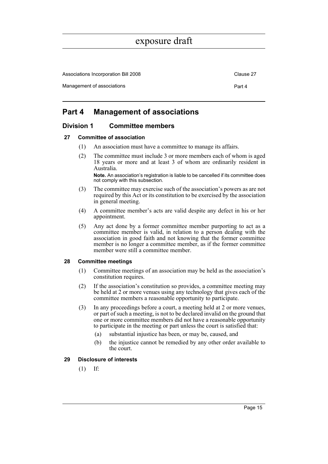Associations Incorporation Bill 2008 Clause 27

Management of associations **Part 4** and 2008 and 2008 and 2008 and 2008 and 2008 and 2008 and 2008 and 2008 and 2008 and 2008 and 2008 and 2008 and 2008 and 2008 and 2008 and 2008 and 2008 and 2008 and 2008 and 2008 and 20

# <span id="page-22-0"></span>**Part 4 Management of associations**

# <span id="page-22-1"></span>**Division 1 Committee members**

#### <span id="page-22-2"></span>**27 Committee of association**

- (1) An association must have a committee to manage its affairs.
- (2) The committee must include 3 or more members each of whom is aged 18 years or more and at least 3 of whom are ordinarily resident in Australia.

**Note.** An association's registration is liable to be cancelled if its committee does not comply with this subsection.

- (3) The committee may exercise such of the association's powers as are not required by this Act or its constitution to be exercised by the association in general meeting.
- (4) A committee member's acts are valid despite any defect in his or her appointment.
- (5) Any act done by a former committee member purporting to act as a committee member is valid, in relation to a person dealing with the association in good faith and not knowing that the former committee member is no longer a committee member, as if the former committee member were still a committee member.

#### <span id="page-22-3"></span>**28 Committee meetings**

- (1) Committee meetings of an association may be held as the association's constitution requires.
- (2) If the association's constitution so provides, a committee meeting may be held at 2 or more venues using any technology that gives each of the committee members a reasonable opportunity to participate.
- (3) In any proceedings before a court, a meeting held at 2 or more venues, or part of such a meeting, is not to be declared invalid on the ground that one or more committee members did not have a reasonable opportunity to participate in the meeting or part unless the court is satisfied that:
	- (a) substantial injustice has been, or may be, caused, and
	- (b) the injustice cannot be remedied by any other order available to the court.

## <span id="page-22-4"></span>**29 Disclosure of interests**

(1) If: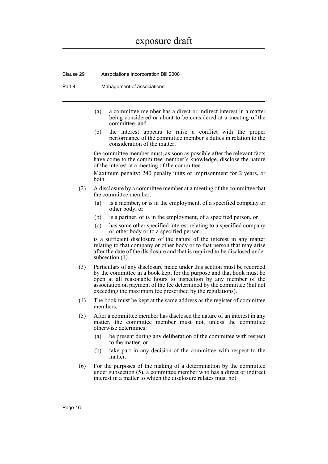Clause 29 Associations Incorporation Bill 2008

Part 4 Management of associations

- (a) a committee member has a direct or indirect interest in a matter being considered or about to be considered at a meeting of the committee, and
- (b) the interest appears to raise a conflict with the proper performance of the committee member's duties in relation to the consideration of the matter,

the committee member must, as soon as possible after the relevant facts have come to the committee member's knowledge, disclose the nature of the interest at a meeting of the committee.

Maximum penalty: 240 penalty units or imprisonment for 2 years, or both.

- (2) A disclosure by a committee member at a meeting of the committee that the committee member:
	- (a) is a member, or is in the employment, of a specified company or other body, or
	- (b) is a partner, or is in the employment, of a specified person, or
	- (c) has some other specified interest relating to a specified company or other body or to a specified person,

is a sufficient disclosure of the nature of the interest in any matter relating to that company or other body or to that person that may arise after the date of the disclosure and that is required to be disclosed under subsection  $(1)$ .

- (3) Particulars of any disclosure made under this section must be recorded by the committee in a book kept for the purpose and that book must be open at all reasonable hours to inspection by any member of the association on payment of the fee determined by the committee (but not exceeding the maximum fee prescribed by the regulations).
- (4) The book must be kept at the same address as the register of committee members.
- (5) After a committee member has disclosed the nature of an interest in any matter, the committee member must not, unless the committee otherwise determines:
	- (a) be present during any deliberation of the committee with respect to the matter, or
	- (b) take part in any decision of the committee with respect to the matter.
- (6) For the purposes of the making of a determination by the committee under subsection (5), a committee member who has a direct or indirect interest in a matter to which the disclosure relates must not: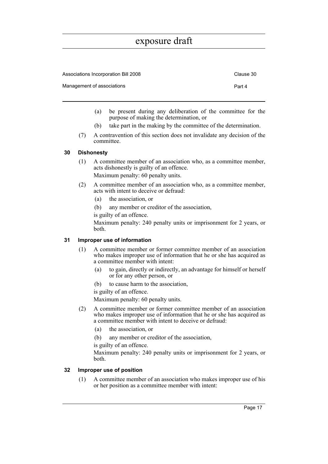| Associations Incorporation Bill 2008 | Clause 30 |
|--------------------------------------|-----------|
| Management of associations           | Part 4    |

- (a) be present during any deliberation of the committee for the purpose of making the determination, or
- (b) take part in the making by the committee of the determination.
- (7) A contravention of this section does not invalidate any decision of the committee.

#### <span id="page-24-0"></span>**30 Dishonesty**

- (1) A committee member of an association who, as a committee member, acts dishonestly is guilty of an offence. Maximum penalty: 60 penalty units.
- (2) A committee member of an association who, as a committee member, acts with intent to deceive or defraud:
	- (a) the association, or
	- (b) any member or creditor of the association,

is guilty of an offence.

Maximum penalty: 240 penalty units or imprisonment for 2 years, or both.

## <span id="page-24-1"></span>**31 Improper use of information**

- (1) A committee member or former committee member of an association who makes improper use of information that he or she has acquired as a committee member with intent:
	- (a) to gain, directly or indirectly, an advantage for himself or herself or for any other person, or
	- (b) to cause harm to the association,

is guilty of an offence.

Maximum penalty: 60 penalty units.

- (2) A committee member or former committee member of an association who makes improper use of information that he or she has acquired as a committee member with intent to deceive or defraud:
	- (a) the association, or

(b) any member or creditor of the association,

is guilty of an offence.

Maximum penalty: 240 penalty units or imprisonment for 2 years, or both.

## <span id="page-24-2"></span>**32 Improper use of position**

(1) A committee member of an association who makes improper use of his or her position as a committee member with intent: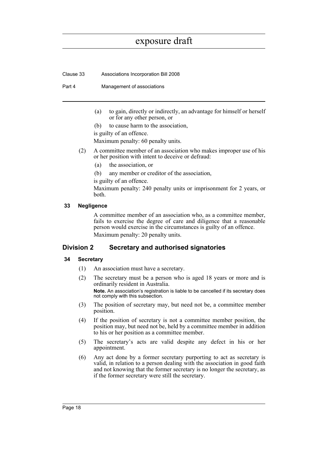Clause 33 Associations Incorporation Bill 2008

Part 4 Management of associations

- (a) to gain, directly or indirectly, an advantage for himself or herself or for any other person, or
- (b) to cause harm to the association,

is guilty of an offence.

Maximum penalty: 60 penalty units.

- (2) A committee member of an association who makes improper use of his or her position with intent to deceive or defraud:
	- (a) the association, or
	- (b) any member or creditor of the association,

is guilty of an offence.

Maximum penalty: 240 penalty units or imprisonment for 2 years, or both.

## <span id="page-25-0"></span>**33 Negligence**

A committee member of an association who, as a committee member, fails to exercise the degree of care and diligence that a reasonable person would exercise in the circumstances is guilty of an offence. Maximum penalty: 20 penalty units.

# <span id="page-25-1"></span>**Division 2 Secretary and authorised signatories**

# <span id="page-25-2"></span>**34 Secretary**

- (1) An association must have a secretary.
- (2) The secretary must be a person who is aged 18 years or more and is ordinarily resident in Australia. **Note.** An association's registration is liable to be cancelled if its secretary does not comply with this subsection.
- (3) The position of secretary may, but need not be, a committee member position.
- (4) If the position of secretary is not a committee member position, the position may, but need not be, held by a committee member in addition to his or her position as a committee member.
- (5) The secretary's acts are valid despite any defect in his or her appointment.
- (6) Any act done by a former secretary purporting to act as secretary is valid, in relation to a person dealing with the association in good faith and not knowing that the former secretary is no longer the secretary, as if the former secretary were still the secretary.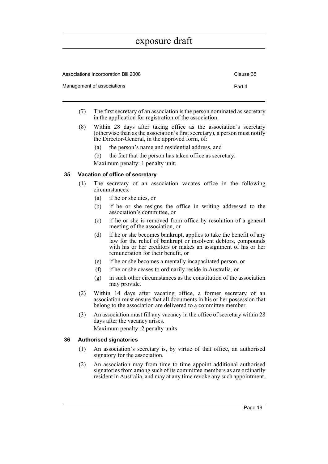| Associations Incorporation Bill 2008 | Clause 35 |
|--------------------------------------|-----------|
| Management of associations           | Part 4    |

- (7) The first secretary of an association is the person nominated as secretary in the application for registration of the association.
- (8) Within 28 days after taking office as the association's secretary (otherwise than as the association's first secretary), a person must notify the Director-General, in the approved form, of:
	- (a) the person's name and residential address, and
	- (b) the fact that the person has taken office as secretary.
	- Maximum penalty: 1 penalty unit.

#### <span id="page-26-0"></span>**35 Vacation of office of secretary**

- (1) The secretary of an association vacates office in the following circumstances:
	- (a) if he or she dies, or
	- (b) if he or she resigns the office in writing addressed to the association's committee, or
	- (c) if he or she is removed from office by resolution of a general meeting of the association, or
	- (d) if he or she becomes bankrupt, applies to take the benefit of any law for the relief of bankrupt or insolvent debtors, compounds with his or her creditors or makes an assignment of his or her remuneration for their benefit, or
	- (e) if he or she becomes a mentally incapacitated person, or
	- (f) if he or she ceases to ordinarily reside in Australia, or
	- (g) in such other circumstances as the constitution of the association may provide.
- (2) Within 14 days after vacating office, a former secretary of an association must ensure that all documents in his or her possession that belong to the association are delivered to a committee member.
- (3) An association must fill any vacancy in the office of secretary within 28 days after the vacancy arises.

Maximum penalty: 2 penalty units

#### <span id="page-26-1"></span>**36 Authorised signatories**

- (1) An association's secretary is, by virtue of that office, an authorised signatory for the association.
- (2) An association may from time to time appoint additional authorised signatories from among such of its committee members as are ordinarily resident in Australia, and may at any time revoke any such appointment.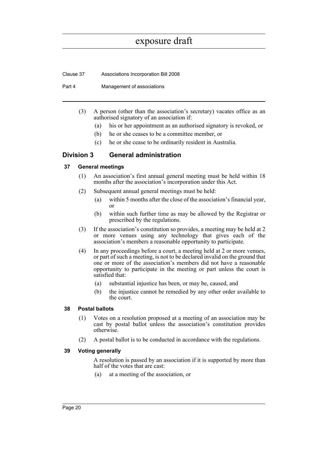Clause 37 Associations Incorporation Bill 2008

Part 4 Management of associations

- (3) A person (other than the association's secretary) vacates office as an authorised signatory of an association if:
	- (a) his or her appointment as an authorised signatory is revoked, or
	- (b) he or she ceases to be a committee member, or
	- (c) he or she cease to be ordinarily resident in Australia.

## <span id="page-27-0"></span>**Division 3 General administration**

#### <span id="page-27-1"></span>**37 General meetings**

- (1) An association's first annual general meeting must be held within 18 months after the association's incorporation under this Act.
- (2) Subsequent annual general meetings must be held:
	- (a) within 5 months after the close of the association's financial year, or
	- (b) within such further time as may be allowed by the Registrar or prescribed by the regulations.
- (3) If the association's constitution so provides, a meeting may be held at 2 or more venues using any technology that gives each of the association's members a reasonable opportunity to participate.
- (4) In any proceedings before a court, a meeting held at 2 or more venues, or part of such a meeting, is not to be declared invalid on the ground that one or more of the association's members did not have a reasonable opportunity to participate in the meeting or part unless the court is satisfied that:
	- (a) substantial injustice has been, or may be, caused, and
	- (b) the injustice cannot be remedied by any other order available to the court.

#### <span id="page-27-2"></span>**38 Postal ballots**

- (1) Votes on a resolution proposed at a meeting of an association may be cast by postal ballot unless the association's constitution provides otherwise.
- (2) A postal ballot is to be conducted in accordance with the regulations.

#### <span id="page-27-3"></span>**39 Voting generally**

A resolution is passed by an association if it is supported by more than half of the votes that are cast:

(a) at a meeting of the association, or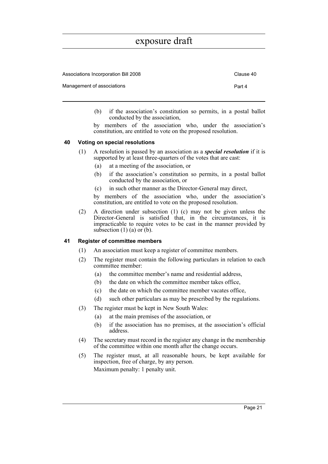| Associations Incorporation Bill 2008 | Clause 40 |
|--------------------------------------|-----------|
| Management of associations           | Part 4    |
|                                      |           |

(b) if the association's constitution so permits, in a postal ballot conducted by the association,

by members of the association who, under the association's constitution, are entitled to vote on the proposed resolution.

## <span id="page-28-0"></span>**40 Voting on special resolutions**

- (1) A resolution is passed by an association as a *special resolution* if it is supported by at least three-quarters of the votes that are cast:
	- (a) at a meeting of the association, or
	- (b) if the association's constitution so permits, in a postal ballot conducted by the association, or
	- (c) in such other manner as the Director-General may direct,

by members of the association who, under the association's constitution, are entitled to vote on the proposed resolution.

(2) A direction under subsection (1) (c) may not be given unless the Director-General is satisfied that, in the circumstances, it is impracticable to require votes to be cast in the manner provided by subsection  $(1)$   $(a)$  or  $(b)$ .

## <span id="page-28-1"></span>**41 Register of committee members**

- (1) An association must keep a register of committee members.
- (2) The register must contain the following particulars in relation to each committee member:
	- (a) the committee member's name and residential address,
	- (b) the date on which the committee member takes office,
	- (c) the date on which the committee member vacates office,
	- (d) such other particulars as may be prescribed by the regulations.
- (3) The register must be kept in New South Wales:
	- (a) at the main premises of the association, or
	- (b) if the association has no premises, at the association's official address.
- (4) The secretary must record in the register any change in the membership of the committee within one month after the change occurs.
- (5) The register must, at all reasonable hours, be kept available for inspection, free of charge, by any person. Maximum penalty: 1 penalty unit.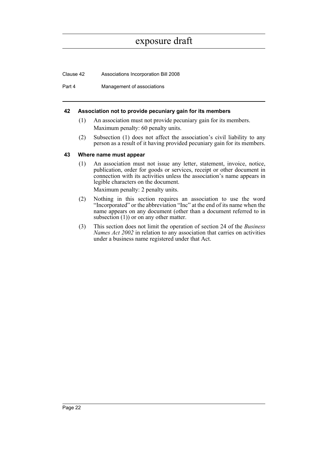Clause 42 Associations Incorporation Bill 2008

Part 4 Management of associations

## <span id="page-29-0"></span>**42 Association not to provide pecuniary gain for its members**

- (1) An association must not provide pecuniary gain for its members. Maximum penalty: 60 penalty units.
- (2) Subsection (1) does not affect the association's civil liability to any person as a result of it having provided pecuniary gain for its members.

## <span id="page-29-1"></span>**43 Where name must appear**

(1) An association must not issue any letter, statement, invoice, notice, publication, order for goods or services, receipt or other document in connection with its activities unless the association's name appears in legible characters on the document.

Maximum penalty: 2 penalty units.

- (2) Nothing in this section requires an association to use the word "Incorporated" or the abbreviation "Inc" at the end of its name when the name appears on any document (other than a document referred to in subsection (1)) or on any other matter.
- (3) This section does not limit the operation of section 24 of the *Business Names Act 2002* in relation to any association that carries on activities under a business name registered under that Act.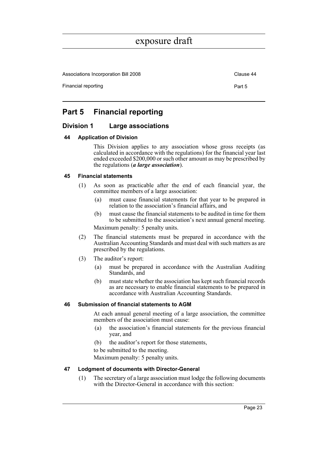Associations Incorporation Bill 2008 Clause 44

Financial reporting example of the part 5 and 2011 and 2012 and 2013 and 2013 and 2014 and 2013 and 2014 and 2013 and 2014 and 2013 and 2014 and 2013 and 2013 and 2013 and 2013 and 2013 and 2013 and 2013 and 2013 and 2013

# <span id="page-30-0"></span>**Part 5 Financial reporting**

## <span id="page-30-1"></span>**Division 1 Large associations**

#### <span id="page-30-2"></span>**44 Application of Division**

This Division applies to any association whose gross receipts (as calculated in accordance with the regulations) for the financial year last ended exceeded \$200,000 or such other amount as may be prescribed by the regulations (*a large association*).

#### <span id="page-30-3"></span>**45 Financial statements**

- (1) As soon as practicable after the end of each financial year, the committee members of a large association:
	- (a) must cause financial statements for that year to be prepared in relation to the association's financial affairs, and
	- (b) must cause the financial statements to be audited in time for them to be submitted to the association's next annual general meeting.

Maximum penalty: 5 penalty units.

- (2) The financial statements must be prepared in accordance with the Australian Accounting Standards and must deal with such matters as are prescribed by the regulations.
- (3) The auditor's report:
	- (a) must be prepared in accordance with the Australian Auditing Standards, and
	- (b) must state whether the association has kept such financial records as are necessary to enable financial statements to be prepared in accordance with Australian Accounting Standards.

#### <span id="page-30-4"></span>**46 Submission of financial statements to AGM**

At each annual general meeting of a large association, the committee members of the association must cause:

- (a) the association's financial statements for the previous financial year, and
- (b) the auditor's report for those statements,
- to be submitted to the meeting.

Maximum penalty: 5 penalty units.

#### <span id="page-30-5"></span>**47 Lodgment of documents with Director-General**

(1) The secretary of a large association must lodge the following documents with the Director-General in accordance with this section: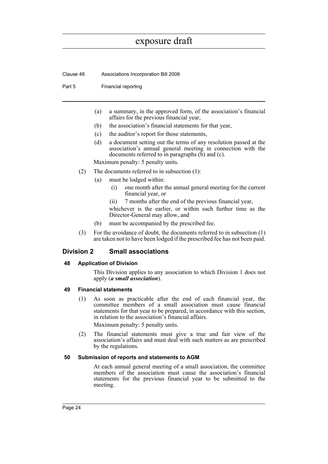Clause 48 Associations Incorporation Bill 2008

- Part 5 Financial reporting
	- (a) a summary, in the approved form, of the association's financial affairs for the previous financial year,
	- (b) the association's financial statements for that year,
	- (c) the auditor's report for those statements,
	- (d) a document setting out the terms of any resolution passed at the association's annual general meeting in connection with the documents referred to in paragraphs (b) and (c).

Maximum penalty: 5 penalty units.

- (2) The documents referred to in subsection (1):
	- (a) must be lodged within:
		- (i) one month after the annual general meeting for the current financial year, or
		- (ii) 7 months after the end of the previous financial year,

whichever is the earlier, or within such further time as the Director-General may allow, and

- (b) must be accompanied by the prescribed fee.
- (3) For the avoidance of doubt, the documents referred to in subsection (1) are taken not to have been lodged if the prescribed fee has not been paid.

## <span id="page-31-0"></span>**Division 2 Small associations**

## <span id="page-31-1"></span>**48 Application of Division**

This Division applies to any association to which Division 1 does not apply (*a small association*).

#### <span id="page-31-2"></span>**49 Financial statements**

(1) As soon as practicable after the end of each financial year, the committee members of a small association must cause financial statements for that year to be prepared, in accordance with this section, in relation to the association's financial affairs.

Maximum penalty: 5 penalty units.

(2) The financial statements must give a true and fair view of the association's affairs and must deal with such matters as are prescribed by the regulations.

#### <span id="page-31-3"></span>**50 Submission of reports and statements to AGM**

At each annual general meeting of a small association, the committee members of the association must cause the association's financial statements for the previous financial year to be submitted to the meeting.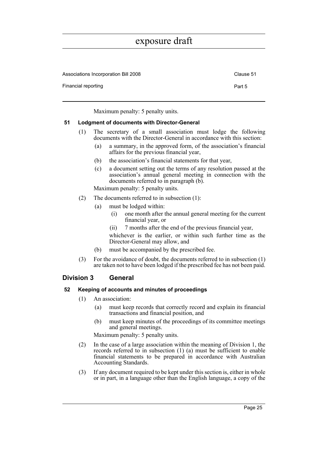| Associations Incorporation Bill 2008 | Clause 51 |
|--------------------------------------|-----------|
| Financial reporting                  | Part 5    |

Maximum penalty: 5 penalty units.

## <span id="page-32-0"></span>**51 Lodgment of documents with Director-General**

- (1) The secretary of a small association must lodge the following documents with the Director-General in accordance with this section:
	- (a) a summary, in the approved form, of the association's financial affairs for the previous financial year,
	- (b) the association's financial statements for that year,
	- (c) a document setting out the terms of any resolution passed at the association's annual general meeting in connection with the documents referred to in paragraph (b).

Maximum penalty: 5 penalty units.

- (2) The documents referred to in subsection (1):
	- (a) must be lodged within:
		- (i) one month after the annual general meeting for the current financial year, or
		- (ii) 7 months after the end of the previous financial year,

whichever is the earlier, or within such further time as the Director-General may allow, and

- (b) must be accompanied by the prescribed fee.
- (3) For the avoidance of doubt, the documents referred to in subsection (1) are taken not to have been lodged if the prescribed fee has not been paid.

# <span id="page-32-1"></span>**Division 3 General**

## <span id="page-32-2"></span>**52 Keeping of accounts and minutes of proceedings**

- (1) An association:
	- (a) must keep records that correctly record and explain its financial transactions and financial position, and
	- (b) must keep minutes of the proceedings of its committee meetings and general meetings.

Maximum penalty: 5 penalty units.

- (2) In the case of a large association within the meaning of Division 1, the records referred to in subsection (1) (a) must be sufficient to enable financial statements to be prepared in accordance with Australian Accounting Standards.
- (3) If any document required to be kept under this section is, either in whole or in part, in a language other than the English language, a copy of the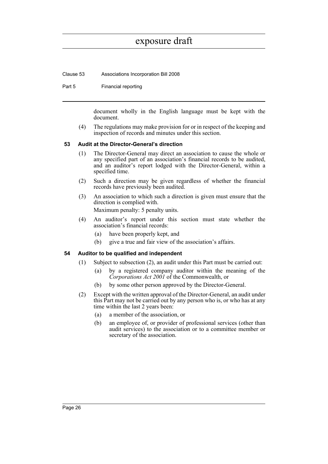Clause 53 Associations Incorporation Bill 2008

Part 5 Financial reporting

document wholly in the English language must be kept with the document.

(4) The regulations may make provision for or in respect of the keeping and inspection of records and minutes under this section.

#### <span id="page-33-0"></span>**53 Audit at the Director-General's direction**

- (1) The Director-General may direct an association to cause the whole or any specified part of an association's financial records to be audited, and an auditor's report lodged with the Director-General, within a specified time.
- (2) Such a direction may be given regardless of whether the financial records have previously been audited.
- (3) An association to which such a direction is given must ensure that the direction is complied with.

Maximum penalty: 5 penalty units.

- (4) An auditor's report under this section must state whether the association's financial records:
	- (a) have been properly kept, and
	- (b) give a true and fair view of the association's affairs.

#### <span id="page-33-1"></span>**54 Auditor to be qualified and independent**

- (1) Subject to subsection (2), an audit under this Part must be carried out:
	- (a) by a registered company auditor within the meaning of the *Corporations Act 2001* of the Commonwealth, or
	- (b) by some other person approved by the Director-General.
- (2) Except with the written approval of the Director-General, an audit under this Part may not be carried out by any person who is, or who has at any time within the last 2 years been:
	- (a) a member of the association, or
	- (b) an employee of, or provider of professional services (other than audit services) to the association or to a committee member or secretary of the association.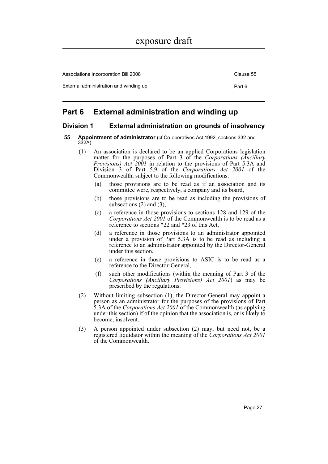Associations Incorporation Bill 2008 Clause 55 External administration and winding up **Part 6** Part 6

# <span id="page-34-0"></span>**Part 6 External administration and winding up**

## <span id="page-34-1"></span>**Division 1 External administration on grounds of insolvency**

- <span id="page-34-2"></span>**55 Appointment of administrator** (cf Co-operatives Act 1992, sections 332 and 332A)
	- (1) An association is declared to be an applied Corporations legislation matter for the purposes of Part 3 of the *Corporations (Ancillary Provisions) Act 2001* in relation to the provisions of Part 5.3A and Division 3 of Part 5.9 of the *Corporations Act 2001* of the Commonwealth, subject to the following modifications:
		- (a) those provisions are to be read as if an association and its committee were, respectively, a company and its board,
		- (b) those provisions are to be read as including the provisions of subsections (2) and (3),
		- (c) a reference in those provisions to sections 128 and 129 of the *Corporations Act 2001* of the Commonwealth is to be read as a reference to sections \*22 and \*23 of this Act,
		- (d) a reference in those provisions to an administrator appointed under a provision of Part 5.3A is to be read as including a reference to an administrator appointed by the Director-General under this section,
		- (e) a reference in those provisions to ASIC is to be read as a reference to the Director-General,
		- (f) such other modifications (within the meaning of Part 3 of the *Corporations (Ancillary Provisions) Act 2001*) as may be prescribed by the regulations.
	- (2) Without limiting subsection (1), the Director-General may appoint a person as an administrator for the purposes of the provisions of Part 5.3A of the *Corporations Act 2001* of the Commonwealth (as applying under this section) if of the opinion that the association is, or is likely to become, insolvent.
	- (3) A person appointed under subsection (2) may, but need not, be a registered liquidator within the meaning of the *Corporations Act 2001* of the Commonwealth.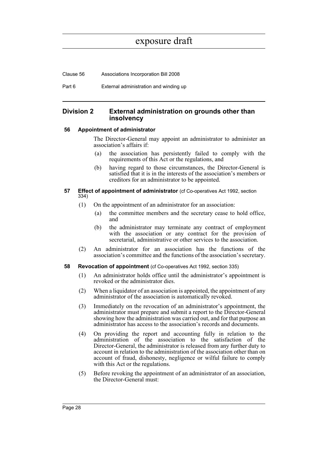Clause 56 Associations Incorporation Bill 2008

Part 6 External administration and winding up

# <span id="page-35-0"></span>**Division 2 External administration on grounds other than insolvency**

## <span id="page-35-1"></span>**56 Appointment of administrator**

The Director-General may appoint an administrator to administer an association's affairs if:

- (a) the association has persistently failed to comply with the requirements of this Act or the regulations, and
- (b) having regard to those circumstances, the Director-General is satisfied that it is in the interests of the association's members or creditors for an administrator to be appointed.

#### <span id="page-35-2"></span>**57 Effect of appointment of administrator** (cf Co-operatives Act 1992, section 334)

- (1) On the appointment of an administrator for an association:
	- (a) the committee members and the secretary cease to hold office, and
	- (b) the administrator may terminate any contract of employment with the association or any contract for the provision of secretarial, administrative or other services to the association.
- (2) An administrator for an association has the functions of the association's committee and the functions of the association's secretary.

## <span id="page-35-3"></span>**58 Revocation of appointment** (cf Co-operatives Act 1992, section 335)

- (1) An administrator holds office until the administrator's appointment is revoked or the administrator dies.
- (2) When a liquidator of an association is appointed, the appointment of any administrator of the association is automatically revoked.
- (3) Immediately on the revocation of an administrator's appointment, the administrator must prepare and submit a report to the Director-General showing how the administration was carried out, and for that purpose an administrator has access to the association's records and documents.
- (4) On providing the report and accounting fully in relation to the administration of the association to the satisfaction of the Director-General, the administrator is released from any further duty to account in relation to the administration of the association other than on account of fraud, dishonesty, negligence or wilful failure to comply with this Act or the regulations.
- (5) Before revoking the appointment of an administrator of an association, the Director-General must: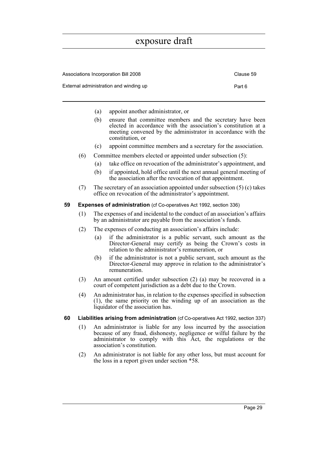| Associations Incorporation Bill 2008   | Clause 59 |
|----------------------------------------|-----------|
| External administration and winding up | Part 6    |

- (a) appoint another administrator, or
- (b) ensure that committee members and the secretary have been elected in accordance with the association's constitution at a meeting convened by the administrator in accordance with the constitution, or
- (c) appoint committee members and a secretary for the association.
- (6) Committee members elected or appointed under subsection (5):
	- (a) take office on revocation of the administrator's appointment, and
	- (b) if appointed, hold office until the next annual general meeting of the association after the revocation of that appointment.
- (7) The secretary of an association appointed under subsection  $(5)$  (c) takes office on revocation of the administrator's appointment.
- <span id="page-36-0"></span>**59 Expenses of administration** (cf Co-operatives Act 1992, section 336)
	- (1) The expenses of and incidental to the conduct of an association's affairs by an administrator are payable from the association's funds.
	- (2) The expenses of conducting an association's affairs include:
		- (a) if the administrator is a public servant, such amount as the Director-General may certify as being the Crown's costs in relation to the administrator's remuneration, or
		- (b) if the administrator is not a public servant, such amount as the Director-General may approve in relation to the administrator's remuneration.
	- (3) An amount certified under subsection (2) (a) may be recovered in a court of competent jurisdiction as a debt due to the Crown.
	- (4) An administrator has, in relation to the expenses specified in subsection (1), the same priority on the winding up of an association as the liquidator of the association has.
- <span id="page-36-1"></span>**60 Liabilities arising from administration** (cf Co-operatives Act 1992, section 337)
	- (1) An administrator is liable for any loss incurred by the association because of any fraud, dishonesty, negligence or wilful failure by the administrator to comply with this Act, the regulations or the association's constitution.
	- (2) An administrator is not liable for any other loss, but must account for the loss in a report given under section \*58.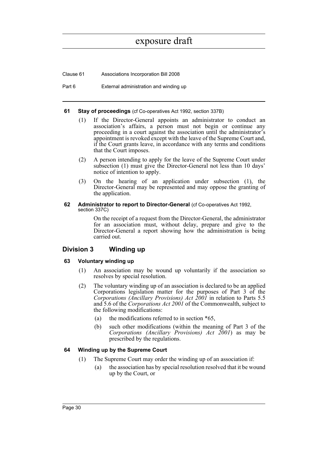Clause 61 Associations Incorporation Bill 2008

Part 6 External administration and winding up

#### <span id="page-37-0"></span>**61 Stay of proceedings** (cf Co-operatives Act 1992, section 337B)

- (1) If the Director-General appoints an administrator to conduct an association's affairs, a person must not begin or continue any proceeding in a court against the association until the administrator's appointment is revoked except with the leave of the Supreme Court and, if the Court grants leave, in accordance with any terms and conditions that the Court imposes.
- (2) A person intending to apply for the leave of the Supreme Court under subsection (1) must give the Director-General not less than 10 days' notice of intention to apply.
- (3) On the hearing of an application under subsection (1), the Director-General may be represented and may oppose the granting of the application.

#### <span id="page-37-1"></span>**62** Administrator to report to Director-General (cf Co-operatives Act 1992, section 337C)

On the receipt of a request from the Director-General, the administrator for an association must, without delay, prepare and give to the Director-General a report showing how the administration is being carried out.

# <span id="page-37-2"></span>**Division 3 Winding up**

## <span id="page-37-3"></span>**63 Voluntary winding up**

- (1) An association may be wound up voluntarily if the association so resolves by special resolution.
- (2) The voluntary winding up of an association is declared to be an applied Corporations legislation matter for the purposes of Part 3 of the *Corporations (Ancillary Provisions) Act 2001* in relation to Parts 5.5 and 5.6 of the *Corporations Act 2001* of the Commonwealth, subject to the following modifications:
	- (a) the modifications referred to in section \*65,
	- (b) such other modifications (within the meaning of Part 3 of the *Corporations (Ancillary Provisions) Act 2001*) as may be prescribed by the regulations.

## <span id="page-37-4"></span>**64 Winding up by the Supreme Court**

- (1) The Supreme Court may order the winding up of an association if:
	- (a) the association has by special resolution resolved that it be wound up by the Court, or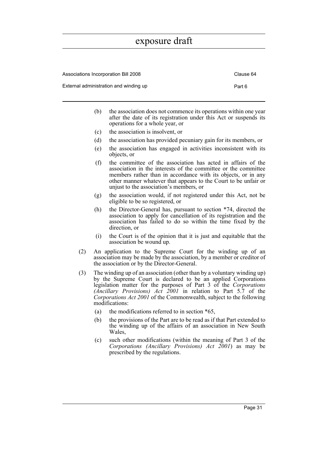| Associations Incorporation Bill 2008   | Clause 64 |
|----------------------------------------|-----------|
| External administration and winding up | Part 6    |

- (b) the association does not commence its operations within one year after the date of its registration under this Act or suspends its operations for a whole year, or
- (c) the association is insolvent, or
- (d) the association has provided pecuniary gain for its members, or
- (e) the association has engaged in activities inconsistent with its objects, or
- (f) the committee of the association has acted in affairs of the association in the interests of the committee or the committee members rather than in accordance with its objects, or in any other manner whatever that appears to the Court to be unfair or unjust to the association's members, or
- (g) the association would, if not registered under this Act, not be eligible to be so registered, or
- (h) the Director-General has, pursuant to section \*74, directed the association to apply for cancellation of its registration and the association has failed to do so within the time fixed by the direction, or
- (i) the Court is of the opinion that it is just and equitable that the association be wound up.
- (2) An application to the Supreme Court for the winding up of an association may be made by the association, by a member or creditor of the association or by the Director-General.
- (3) The winding up of an association (other than by a voluntary winding up) by the Supreme Court is declared to be an applied Corporations legislation matter for the purposes of Part 3 of the *Corporations (Ancillary Provisions) Act 2001* in relation to Part 5.7 of the *Corporations Act 2001* of the Commonwealth, subject to the following modifications:
	- (a) the modifications referred to in section  $*65$ ,
	- (b) the provisions of the Part are to be read as if that Part extended to the winding up of the affairs of an association in New South Wales,
	- (c) such other modifications (within the meaning of Part 3 of the *Corporations (Ancillary Provisions) Act 2001*) as may be prescribed by the regulations.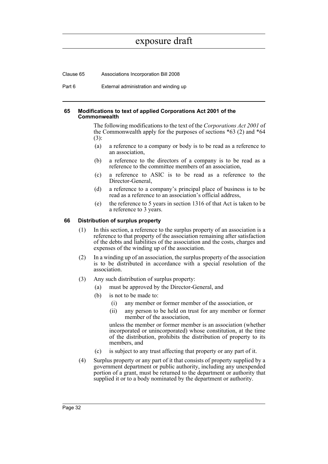Clause 65 Associations Incorporation Bill 2008

Part 6 External administration and winding up

#### <span id="page-39-0"></span>**65 Modifications to text of applied Corporations Act 2001 of the Commonwealth**

The following modifications to the text of the *Corporations Act 2001* of the Commonwealth apply for the purposes of sections \*63 (2) and \*64 (3):

- (a) a reference to a company or body is to be read as a reference to an association,
- (b) a reference to the directors of a company is to be read as a reference to the committee members of an association,
- (c) a reference to ASIC is to be read as a reference to the Director-General,
- (d) a reference to a company's principal place of business is to be read as a reference to an association's official address,
- (e) the reference to 5 years in section 1316 of that Act is taken to be a reference to 3 years.

#### <span id="page-39-1"></span>**66 Distribution of surplus property**

- (1) In this section, a reference to the surplus property of an association is a reference to that property of the association remaining after satisfaction of the debts and liabilities of the association and the costs, charges and expenses of the winding up of the association.
- (2) In a winding up of an association, the surplus property of the association is to be distributed in accordance with a special resolution of the association.
- (3) Any such distribution of surplus property:
	- (a) must be approved by the Director-General, and
	- (b) is not to be made to:
		- (i) any member or former member of the association, or
		- (ii) any person to be held on trust for any member or former member of the association,

unless the member or former member is an association (whether incorporated or unincorporated) whose constitution, at the time of the distribution, prohibits the distribution of property to its members, and

- (c) is subject to any trust affecting that property or any part of it.
- (4) Surplus property or any part of it that consists of property supplied by a government department or public authority, including any unexpended portion of a grant, must be returned to the department or authority that supplied it or to a body nominated by the department or authority.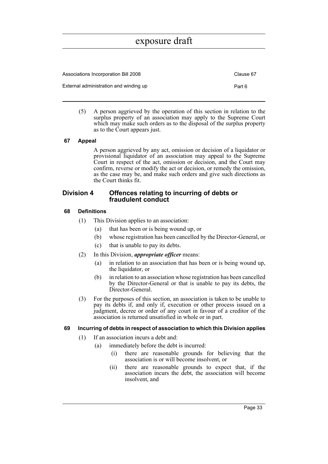| Associations Incorporation Bill 2008   | Clause 67 |
|----------------------------------------|-----------|
| External administration and winding up | Part 6    |

(5) A person aggrieved by the operation of this section in relation to the surplus property of an association may apply to the Supreme Court which may make such orders as to the disposal of the surplus property as to the Court appears just.

#### <span id="page-40-0"></span>**67 Appeal**

A person aggrieved by any act, omission or decision of a liquidator or provisional liquidator of an association may appeal to the Supreme Court in respect of the act, omission or decision, and the Court may confirm, reverse or modify the act or decision, or remedy the omission, as the case may be, and make such orders and give such directions as the Court thinks fit.

## <span id="page-40-1"></span>**Division 4 Offences relating to incurring of debts or fraudulent conduct**

#### <span id="page-40-2"></span>**68 Definitions**

- (1) This Division applies to an association:
	- (a) that has been or is being wound up, or
	- (b) whose registration has been cancelled by the Director-General, or
	- (c) that is unable to pay its debts.
- (2) In this Division, *appropriate officer* means:
	- (a) in relation to an association that has been or is being wound up, the liquidator, or
	- (b) in relation to an association whose registration has been cancelled by the Director-General or that is unable to pay its debts, the Director-General.
- (3) For the purposes of this section, an association is taken to be unable to pay its debts if, and only if, execution or other process issued on a judgment, decree or order of any court in favour of a creditor of the association is returned unsatisfied in whole or in part.

#### <span id="page-40-3"></span>**69 Incurring of debts in respect of association to which this Division applies**

- (1) If an association incurs a debt and:
	- (a) immediately before the debt is incurred:
		- (i) there are reasonable grounds for believing that the association is or will become insolvent, or
		- (ii) there are reasonable grounds to expect that, if the association incurs the debt, the association will become insolvent, and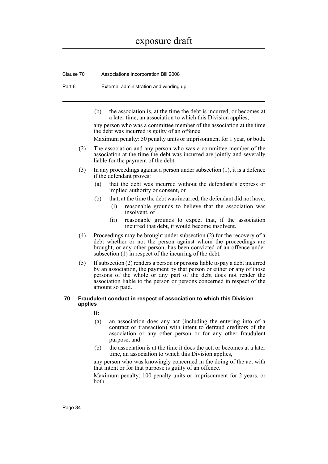Clause 70 Associations Incorporation Bill 2008

Part 6 External administration and winding up

(b) the association is, at the time the debt is incurred, or becomes at a later time, an association to which this Division applies,

any person who was a committee member of the association at the time the debt was incurred is guilty of an offence.

Maximum penalty: 50 penalty units or imprisonment for 1 year, or both.

- (2) The association and any person who was a committee member of the association at the time the debt was incurred are jointly and severally liable for the payment of the debt.
- (3) In any proceedings against a person under subsection (1), it is a defence if the defendant proves:
	- (a) that the debt was incurred without the defendant's express or implied authority or consent, or
	- (b) that, at the time the debt was incurred, the defendant did not have:
		- (i) reasonable grounds to believe that the association was insolvent, or
		- (ii) reasonable grounds to expect that, if the association incurred that debt, it would become insolvent.
- (4) Proceedings may be brought under subsection (2) for the recovery of a debt whether or not the person against whom the proceedings are brought, or any other person, has been convicted of an offence under subsection (1) in respect of the incurring of the debt.
- (5) If subsection (2) renders a person or persons liable to pay a debt incurred by an association, the payment by that person or either or any of those persons of the whole or any part of the debt does not render the association liable to the person or persons concerned in respect of the amount so paid.

#### <span id="page-41-0"></span>**70 Fraudulent conduct in respect of association to which this Division applies**

- If:
- (a) an association does any act (including the entering into of a contract or transaction) with intent to defraud creditors of the association or any other person or for any other fraudulent purpose, and
- (b) the association is at the time it does the act, or becomes at a later time, an association to which this Division applies,

any person who was knowingly concerned in the doing of the act with that intent or for that purpose is guilty of an offence.

Maximum penalty: 100 penalty units or imprisonment for 2 years, or both.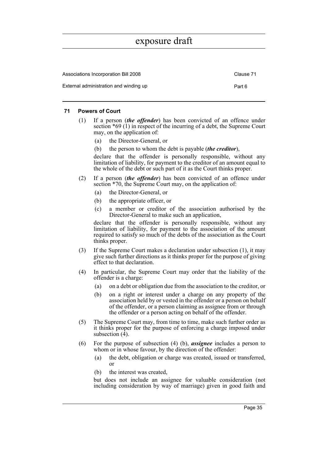| Associations Incorporation Bill 2008   | Clause 71 |
|----------------------------------------|-----------|
| External administration and winding up | Part 6    |

#### <span id="page-42-0"></span>**71 Powers of Court**

- (1) If a person (*the offender*) has been convicted of an offence under section \*69 (1) in respect of the incurring of a debt, the Supreme Court may, on the application of:
	- (a) the Director-General, or
	- (b) the person to whom the debt is payable (*the creditor*),

declare that the offender is personally responsible, without any limitation of liability, for payment to the creditor of an amount equal to the whole of the debt or such part of it as the Court thinks proper.

- (2) If a person (*the offender*) has been convicted of an offence under section  $*70$ , the Supreme Court may, on the application of:
	- (a) the Director-General, or
	- (b) the appropriate officer, or
	- (c) a member or creditor of the association authorised by the Director-General to make such an application,

declare that the offender is personally responsible, without any limitation of liability, for payment to the association of the amount required to satisfy so much of the debts of the association as the Court thinks proper.

- (3) If the Supreme Court makes a declaration under subsection (1), it may give such further directions as it thinks proper for the purpose of giving effect to that declaration.
- (4) In particular, the Supreme Court may order that the liability of the offender is a charge:
	- (a) on a debt or obligation due from the association to the creditor, or
	- (b) on a right or interest under a charge on any property of the association held by or vested in the offender or a person on behalf of the offender, or a person claiming as assignee from or through the offender or a person acting on behalf of the offender.
- (5) The Supreme Court may, from time to time, make such further order as it thinks proper for the purpose of enforcing a charge imposed under subsection  $(\hat{4})$ .
- (6) For the purpose of subsection (4) (b), *assignee* includes a person to whom or in whose favour, by the direction of the offender:
	- (a) the debt, obligation or charge was created, issued or transferred, or
	- (b) the interest was created,

but does not include an assignee for valuable consideration (not including consideration by way of marriage) given in good faith and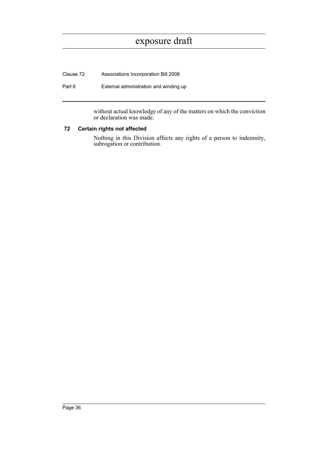Clause 72 Associations Incorporation Bill 2008

Part 6 **External administration and winding up** 

without actual knowledge of any of the matters on which the conviction or declaration was made.

# <span id="page-43-0"></span>**72 Certain rights not affected**

Nothing in this Division affects any rights of a person to indemnity, subrogation or contribution.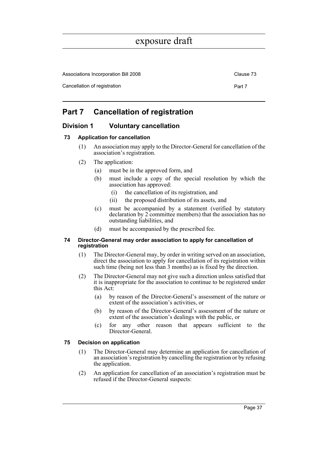Associations Incorporation Bill 2008 Clause 73

Cancellation of registration **Part 7** and 2

# <span id="page-44-0"></span>**Part 7 Cancellation of registration**

# <span id="page-44-1"></span>**Division 1 Voluntary cancellation**

## <span id="page-44-2"></span>**73 Application for cancellation**

- (1) An association may apply to the Director-General for cancellation of the association's registration.
- (2) The application:
	- (a) must be in the approved form, and
	- (b) must include a copy of the special resolution by which the association has approved:
		- (i) the cancellation of its registration, and
		- (ii) the proposed distribution of its assets, and
	- (c) must be accompanied by a statement (verified by statutory declaration by 2 committee members) that the association has no outstanding liabilities, and
	- (d) must be accompanied by the prescribed fee.

#### <span id="page-44-3"></span>**74 Director-General may order association to apply for cancellation of registration**

- (1) The Director-General may, by order in writing served on an association, direct the association to apply for cancellation of its registration within such time (being not less than 3 months) as is fixed by the direction.
- (2) The Director-General may not give such a direction unless satisfied that it is inappropriate for the association to continue to be registered under this Act:
	- (a) by reason of the Director-General's assessment of the nature or extent of the association's activities, or
	- (b) by reason of the Director-General's assessment of the nature or extent of the association's dealings with the public, or
	- (c) for any other reason that appears sufficient to the Director-General.

## <span id="page-44-4"></span>**75 Decision on application**

- (1) The Director-General may determine an application for cancellation of an association's registration by cancelling the registration or by refusing the application.
- (2) An application for cancellation of an association's registration must be refused if the Director-General suspects: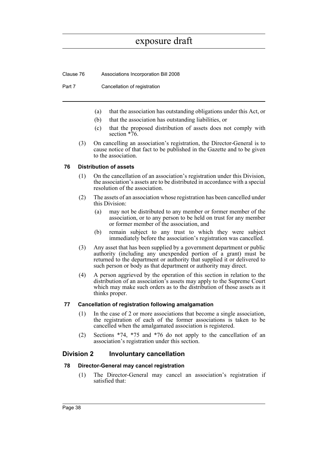Clause 76 Associations Incorporation Bill 2008

Part 7 Cancellation of registration

- (a) that the association has outstanding obligations under this Act, or
- (b) that the association has outstanding liabilities, or
- (c) that the proposed distribution of assets does not comply with section  $*76$ .
- (3) On cancelling an association's registration, the Director-General is to cause notice of that fact to be published in the Gazette and to be given to the association.

#### <span id="page-45-0"></span>**76 Distribution of assets**

- (1) On the cancellation of an association's registration under this Division, the association's assets are to be distributed in accordance with a special resolution of the association.
- (2) The assets of an association whose registration has been cancelled under this Division:
	- (a) may not be distributed to any member or former member of the association, or to any person to be held on trust for any member or former member of the association, and
	- (b) remain subject to any trust to which they were subject immediately before the association's registration was cancelled.
- (3) Any asset that has been supplied by a government department or public authority (including any unexpended portion of a grant) must be returned to the department or authority that supplied it or delivered to such person or body as that department or authority may direct.
- (4) A person aggrieved by the operation of this section in relation to the distribution of an association's assets may apply to the Supreme Court which may make such orders as to the distribution of those assets as it thinks proper.

## <span id="page-45-1"></span>**77 Cancellation of registration following amalgamation**

- (1) In the case of 2 or more associations that become a single association, the registration of each of the former associations is taken to be cancelled when the amalgamated association is registered.
- (2) Sections \*74, \*75 and \*76 do not apply to the cancellation of an association's registration under this section.

# <span id="page-45-2"></span>**Division 2 Involuntary cancellation**

#### <span id="page-45-3"></span>**78 Director-General may cancel registration**

(1) The Director-General may cancel an association's registration if satisfied that: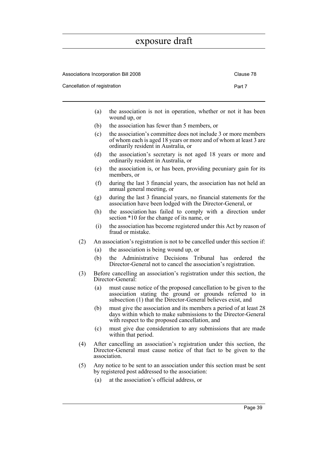| Associations Incorporation Bill 2008 | Clause 78 |
|--------------------------------------|-----------|
| Cancellation of registration         | Part 7    |
|                                      |           |

- (a) the association is not in operation, whether or not it has been wound up, or
- (b) the association has fewer than 5 members, or
- (c) the association's committee does not include 3 or more members of whom each is aged 18 years or more and of whom at least 3 are ordinarily resident in Australia, or
- (d) the association's secretary is not aged 18 years or more and ordinarily resident in Australia, or
- (e) the association is, or has been, providing pecuniary gain for its members, or
- (f) during the last 3 financial years, the association has not held an annual general meeting, or
- (g) during the last 3 financial years, no financial statements for the association have been lodged with the Director-General, or
- (h) the association has failed to comply with a direction under section \*10 for the change of its name, or
- (i) the association has become registered under this Act by reason of fraud or mistake.
- (2) An association's registration is not to be cancelled under this section if:
	- (a) the association is being wound up, or
	- (b) the Administrative Decisions Tribunal has ordered the Director-General not to cancel the association's registration.
- (3) Before cancelling an association's registration under this section, the Director-General:
	- (a) must cause notice of the proposed cancellation to be given to the association stating the ground or grounds referred to in subsection (1) that the Director-General believes exist, and
	- (b) must give the association and its members a period of at least 28 days within which to make submissions to the Director-General with respect to the proposed cancellation, and
	- (c) must give due consideration to any submissions that are made within that period.
- (4) After cancelling an association's registration under this section, the Director-General must cause notice of that fact to be given to the association.
- (5) Any notice to be sent to an association under this section must be sent by registered post addressed to the association:
	- (a) at the association's official address, or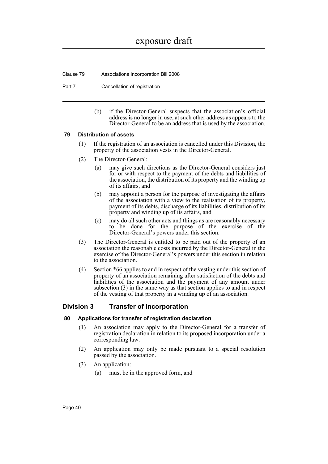Clause 79 Associations Incorporation Bill 2008

Part 7 Cancellation of registration

(b) if the Director-General suspects that the association's official address is no longer in use, at such other address as appears to the Director-General to be an address that is used by the association.

#### <span id="page-47-0"></span>**79 Distribution of assets**

- (1) If the registration of an association is cancelled under this Division, the property of the association vests in the Director-General.
- (2) The Director-General:
	- (a) may give such directions as the Director-General considers just for or with respect to the payment of the debts and liabilities of the association, the distribution of its property and the winding up of its affairs, and
	- (b) may appoint a person for the purpose of investigating the affairs of the association with a view to the realisation of its property, payment of its debts, discharge of its liabilities, distribution of its property and winding up of its affairs, and
	- (c) may do all such other acts and things as are reasonably necessary to be done for the purpose of the exercise of the Director-General's powers under this section.
- (3) The Director-General is entitled to be paid out of the property of an association the reasonable costs incurred by the Director-General in the exercise of the Director-General's powers under this section in relation to the association.
- (4) Section \*66 applies to and in respect of the vesting under this section of property of an association remaining after satisfaction of the debts and liabilities of the association and the payment of any amount under subsection (3) in the same way as that section applies to and in respect of the vesting of that property in a winding up of an association.

# <span id="page-47-1"></span>**Division 3 Transfer of incorporation**

## <span id="page-47-2"></span>**80 Applications for transfer of registration declaration**

- (1) An association may apply to the Director-General for a transfer of registration declaration in relation to its proposed incorporation under a corresponding law.
- (2) An application may only be made pursuant to a special resolution passed by the association.
- (3) An application:
	- (a) must be in the approved form, and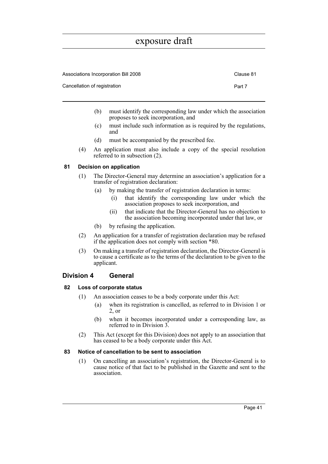| Associations Incorporation Bill 2008 | Clause 81 |
|--------------------------------------|-----------|
| Cancellation of registration         | Part 7    |

- (b) must identify the corresponding law under which the association proposes to seek incorporation, and
- (c) must include such information as is required by the regulations, and
- (d) must be accompanied by the prescribed fee.
- (4) An application must also include a copy of the special resolution referred to in subsection (2).

## <span id="page-48-0"></span>**81 Decision on application**

- (1) The Director-General may determine an association's application for a transfer of registration declaration:
	- (a) by making the transfer of registration declaration in terms:
		- (i) that identify the corresponding law under which the association proposes to seek incorporation, and
		- (ii) that indicate that the Director-General has no objection to the association becoming incorporated under that law, or
	- (b) by refusing the application.
- (2) An application for a transfer of registration declaration may be refused if the application does not comply with section \*80.
- (3) On making a transfer of registration declaration, the Director-General is to cause a certificate as to the terms of the declaration to be given to the applicant.

# <span id="page-48-1"></span>**Division 4 General**

## <span id="page-48-2"></span>**82 Loss of corporate status**

- (1) An association ceases to be a body corporate under this Act:
	- (a) when its registration is cancelled, as referred to in Division 1 or 2, or
	- (b) when it becomes incorporated under a corresponding law, as referred to in Division 3.
- (2) This Act (except for this Division) does not apply to an association that has ceased to be a body corporate under this Act.

## <span id="page-48-3"></span>**83 Notice of cancellation to be sent to association**

(1) On cancelling an association's registration, the Director-General is to cause notice of that fact to be published in the Gazette and sent to the association.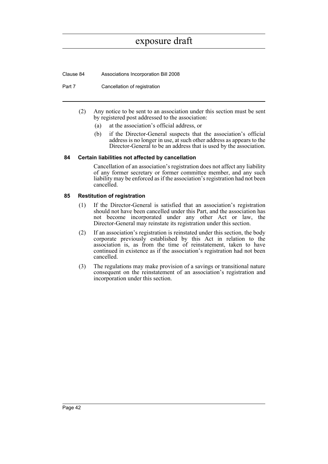Clause 84 Associations Incorporation Bill 2008

Part 7 Cancellation of registration

- (2) Any notice to be sent to an association under this section must be sent by registered post addressed to the association:
	- (a) at the association's official address, or
	- (b) if the Director-General suspects that the association's official address is no longer in use, at such other address as appears to the Director-General to be an address that is used by the association.

## <span id="page-49-0"></span>**84 Certain liabilities not affected by cancellation**

Cancellation of an association's registration does not affect any liability of any former secretary or former committee member, and any such liability may be enforced as if the association's registration had not been cancelled.

## <span id="page-49-1"></span>**85 Restitution of registration**

- (1) If the Director-General is satisfied that an association's registration should not have been cancelled under this Part, and the association has not become incorporated under any other Act or law, the Director-General may reinstate its registration under this section.
- (2) If an association's registration is reinstated under this section, the body corporate previously established by this Act in relation to the association is, as from the time of reinstatement, taken to have continued in existence as if the association's registration had not been cancelled.
- (3) The regulations may make provision of a savings or transitional nature consequent on the reinstatement of an association's registration and incorporation under this section.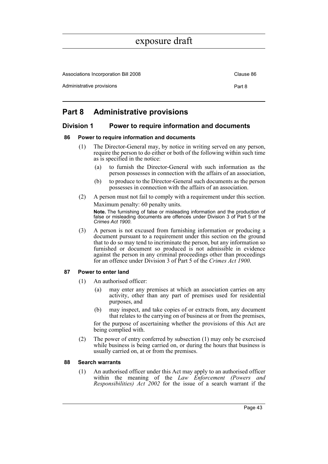Associations Incorporation Bill 2008 Clause 86

Administrative provisions **Part 8** 

# <span id="page-50-0"></span>**Part 8 Administrative provisions**

# <span id="page-50-1"></span>**Division 1 Power to require information and documents**

## <span id="page-50-2"></span>**86 Power to require information and documents**

- (1) The Director-General may, by notice in writing served on any person, require the person to do either or both of the following within such time as is specified in the notice:
	- (a) to furnish the Director-General with such information as the person possesses in connection with the affairs of an association,
	- (b) to produce to the Director-General such documents as the person possesses in connection with the affairs of an association.
- (2) A person must not fail to comply with a requirement under this section. Maximum penalty: 60 penalty units.

**Note.** The furnishing of false or misleading information and the production of false or misleading documents are offences under Division 3 of Part 5 of the *Crimes Act 1900*.

(3) A person is not excused from furnishing information or producing a document pursuant to a requirement under this section on the ground that to do so may tend to incriminate the person, but any information so furnished or document so produced is not admissible in evidence against the person in any criminal proceedings other than proceedings for an offence under Division 3 of Part 5 of the *Crimes Act 1900*.

## <span id="page-50-3"></span>**87 Power to enter land**

- (1) An authorised officer:
	- (a) may enter any premises at which an association carries on any activity, other than any part of premises used for residential purposes, and
	- (b) may inspect, and take copies of or extracts from, any document that relates to the carrying on of business at or from the premises,

for the purpose of ascertaining whether the provisions of this Act are being complied with.

(2) The power of entry conferred by subsection (1) may only be exercised while business is being carried on, or during the hours that business is usually carried on, at or from the premises.

## <span id="page-50-4"></span>**88 Search warrants**

(1) An authorised officer under this Act may apply to an authorised officer within the meaning of the *Law Enforcement (Powers and Responsibilities) Act 2002* for the issue of a search warrant if the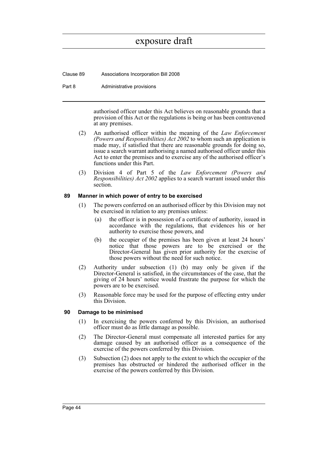Clause 89 Associations Incorporation Bill 2008

Part 8 **Administrative provisions** 

authorised officer under this Act believes on reasonable grounds that a provision of this Act or the regulations is being or has been contravened at any premises.

- (2) An authorised officer within the meaning of the *Law Enforcement (Powers and Responsibilities) Act 2002* to whom such an application is made may, if satisfied that there are reasonable grounds for doing so, issue a search warrant authorising a named authorised officer under this Act to enter the premises and to exercise any of the authorised officer's functions under this Part.
- (3) Division 4 of Part 5 of the *Law Enforcement (Powers and Responsibilities) Act 2002* applies to a search warrant issued under this section.

## <span id="page-51-0"></span>**89 Manner in which power of entry to be exercised**

- (1) The powers conferred on an authorised officer by this Division may not be exercised in relation to any premises unless:
	- (a) the officer is in possession of a certificate of authority, issued in accordance with the regulations, that evidences his or her authority to exercise those powers, and
	- (b) the occupier of the premises has been given at least 24 hours' notice that those powers are to be exercised or the Director-General has given prior authority for the exercise of those powers without the need for such notice.
- (2) Authority under subsection (1) (b) may only be given if the Director-General is satisfied, in the circumstances of the case, that the giving of 24 hours' notice would frustrate the purpose for which the powers are to be exercised.
- (3) Reasonable force may be used for the purpose of effecting entry under this Division.

## <span id="page-51-1"></span>**90 Damage to be minimised**

- (1) In exercising the powers conferred by this Division, an authorised officer must do as little damage as possible.
- (2) The Director-General must compensate all interested parties for any damage caused by an authorised officer as a consequence of the exercise of the powers conferred by this Division.
- (3) Subsection (2) does not apply to the extent to which the occupier of the premises has obstructed or hindered the authorised officer in the exercise of the powers conferred by this Division.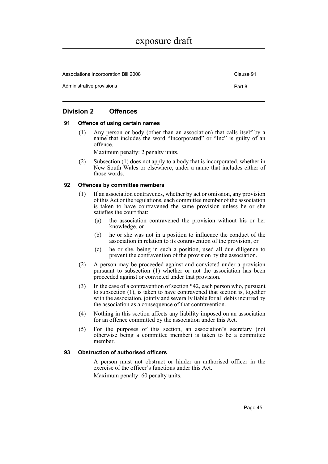Associations Incorporation Bill 2008 Clause 91

Administrative provisions **Part 8** 

# <span id="page-52-0"></span>**Division 2 Offences**

#### <span id="page-52-1"></span>**91 Offence of using certain names**

(1) Any person or body (other than an association) that calls itself by a name that includes the word "Incorporated" or "Inc" is guilty of an offence.

Maximum penalty: 2 penalty units.

(2) Subsection (1) does not apply to a body that is incorporated, whether in New South Wales or elsewhere, under a name that includes either of those words.

#### <span id="page-52-2"></span>**92 Offences by committee members**

- (1) If an association contravenes, whether by act or omission, any provision of this Act or the regulations, each committee member of the association is taken to have contravened the same provision unless he or she satisfies the court that:
	- (a) the association contravened the provision without his or her knowledge, or
	- (b) he or she was not in a position to influence the conduct of the association in relation to its contravention of the provision, or
	- (c) he or she, being in such a position, used all due diligence to prevent the contravention of the provision by the association.
- (2) A person may be proceeded against and convicted under a provision pursuant to subsection (1) whether or not the association has been proceeded against or convicted under that provision.
- (3) In the case of a contravention of section \*42, each person who, pursuant to subsection (1), is taken to have contravened that section is, together with the association, jointly and severally liable for all debts incurred by the association as a consequence of that contravention.
- (4) Nothing in this section affects any liability imposed on an association for an offence committed by the association under this Act.
- (5) For the purposes of this section, an association's secretary (not otherwise being a committee member) is taken to be a committee member.

## <span id="page-52-3"></span>**93 Obstruction of authorised officers**

A person must not obstruct or hinder an authorised officer in the exercise of the officer's functions under this Act. Maximum penalty: 60 penalty units.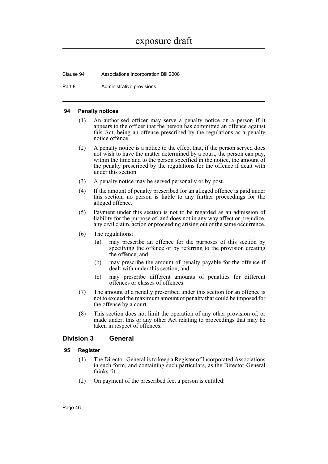Clause 94 Associations Incorporation Bill 2008

Part 8 **Administrative provisions** 

#### <span id="page-53-0"></span>**94 Penalty notices**

- (1) An authorised officer may serve a penalty notice on a person if it appears to the officer that the person has committed an offence against this Act, being an offence prescribed by the regulations as a penalty notice offence.
- (2) A penalty notice is a notice to the effect that, if the person served does not wish to have the matter determined by a court, the person can pay, within the time and to the person specified in the notice, the amount of the penalty prescribed by the regulations for the offence if dealt with under this section.
- (3) A penalty notice may be served personally or by post.
- (4) If the amount of penalty prescribed for an alleged offence is paid under this section, no person is liable to any further proceedings for the alleged offence.
- (5) Payment under this section is not to be regarded as an admission of liability for the purpose of, and does not in any way affect or prejudice, any civil claim, action or proceeding arising out of the same occurrence.
- (6) The regulations:
	- (a) may prescribe an offence for the purposes of this section by specifying the offence or by referring to the provision creating the offence, and
	- (b) may prescribe the amount of penalty payable for the offence if dealt with under this section, and
	- (c) may prescribe different amounts of penalties for different offences or classes of offences.
- (7) The amount of a penalty prescribed under this section for an offence is not to exceed the maximum amount of penalty that could be imposed for the offence by a court.
- (8) This section does not limit the operation of any other provision of, or made under, this or any other Act relating to proceedings that may be taken in respect of offences.

# <span id="page-53-1"></span>**Division 3 General**

## <span id="page-53-2"></span>**95 Register**

- (1) The Director-General is to keep a Register of Incorporated Associations in such form, and containing such particulars, as the Director-General thinks fit.
- (2) On payment of the prescribed fee, a person is entitled: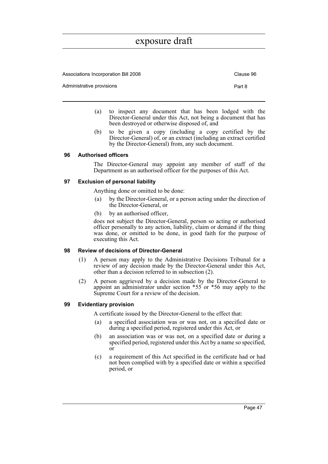Associations Incorporation Bill 2008 Clause 96

Administrative provisions **Part 8** 

- (a) to inspect any document that has been lodged with the Director-General under this Act, not being a document that has been destroyed or otherwise disposed of, and
- (b) to be given a copy (including a copy certified by the Director-General) of, or an extract (including an extract certified by the Director-General) from, any such document.

## <span id="page-54-0"></span>**96 Authorised officers**

The Director-General may appoint any member of staff of the Department as an authorised officer for the purposes of this Act.

#### <span id="page-54-1"></span>**97 Exclusion of personal liability**

Anything done or omitted to be done:

- (a) by the Director-General, or a person acting under the direction of the Director-General, or
- (b) by an authorised officer,

does not subject the Director-General, person so acting or authorised officer personally to any action, liability, claim or demand if the thing was done, or omitted to be done, in good faith for the purpose of executing this Act.

## <span id="page-54-2"></span>**98 Review of decisions of Director-General**

- (1) A person may apply to the Administrative Decisions Tribunal for a review of any decision made by the Director-General under this Act, other than a decision referred to in subsection (2).
- (2) A person aggrieved by a decision made by the Director-General to appoint an administrator under section \*55 or \*56 may apply to the Supreme Court for a review of the decision.

## <span id="page-54-3"></span>**99 Evidentiary provision**

A certificate issued by the Director-General to the effect that:

- (a) a specified association was or was not, on a specified date or during a specified period, registered under this Act, or
- (b) an association was or was not, on a specified date or during a specified period, registered under this Act by a name so specified, or
- (c) a requirement of this Act specified in the certificate had or had not been complied with by a specified date or within a specified period, or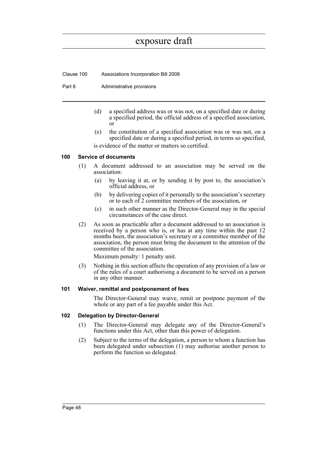Clause 100 Associations Incorporation Bill 2008

Part 8 **Administrative provisions** 

- (d) a specified address was or was not, on a specified date or during a specified period, the official address of a specified association, or
- (e) the constitution of a specified association was or was not, on a specified date or during a specified period, in terms so specified, is evidence of the matter or matters so certified.

#### <span id="page-55-0"></span>**100 Service of documents**

- (1) A document addressed to an association may be served on the association:
	- (a) by leaving it at, or by sending it by post to, the association's official address, or
	- (b) by delivering copies of it personally to the association's secretary or to each of 2 committee members of the association, or
	- (c) in such other manner as the Director-General may in the special circumstances of the case direct.
- (2) As soon as practicable after a document addressed to an association is received by a person who is, or has at any time within the past 12 months been, the association's secretary or a committee member of the association, the person must bring the document to the attention of the committee of the association.

Maximum penalty: 1 penalty unit.

(3) Nothing in this section affects the operation of any provision of a law or of the rules of a court authorising a document to be served on a person in any other manner.

#### <span id="page-55-1"></span>**101 Waiver, remittal and postponement of fees**

The Director-General may waive, remit or postpone payment of the whole or any part of a fee payable under this Act.

#### <span id="page-55-2"></span>**102 Delegation by Director-General**

- (1) The Director-General may delegate any of the Director-General's functions under this Act, other than this power of delegation.
- (2) Subject to the terms of the delegation, a person to whom a function has been delegated under subsection (1) may authorise another person to perform the function so delegated.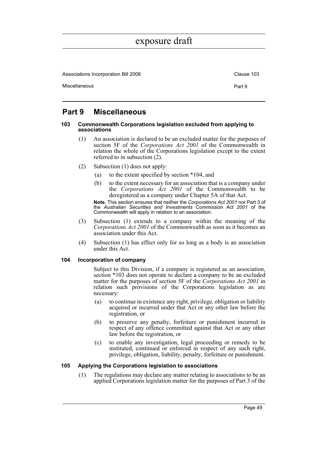Associations Incorporation Bill 2008 Clause 103

Miscellaneous **Part 9** 

# <span id="page-56-0"></span>**Part 9 Miscellaneous**

#### <span id="page-56-1"></span>**103 Commonwealth Corporations legislation excluded from applying to associations**

- (1) An association is declared to be an excluded matter for the purposes of section 5F of the *Corporations Act 2001* of the Commonwealth in relation the whole of the Corporations legislation except to the extent referred to in subsection (2).
- (2) Subsection (1) does not apply:
	- (a) to the extent specified by section \*104, and
	- (b) to the extent necessary for an association that is a company under the *Corporations Act 2001* of the Commonwealth to be deregistered as a company under Chapter 5A of that Act.

**Note.** This section ensures that neither the *Corporations Act 2001* nor Part 3 of the *Australian Securities and Investments Commission Act 2001* of the Commonwealth will apply in relation to an association.

- (3) Subsection (1) extends to a company within the meaning of the *Corporations Act 2001* of the Commonwealth as soon as it becomes an association under this Act.
- (4) Subsection (1) has effect only for so long as a body is an association under this Act.

## <span id="page-56-2"></span>**104 Incorporation of company**

Subject to this Division, if a company is registered as an association, section \*103 does not operate to declare a company to be an excluded matter for the purposes of section 5F of the *Corporations Act 2001* in relation such provisions of the Corporations legislation as are necessary:

- (a) to continue in existence any right, privilege, obligation or liability acquired or incurred under that Act or any other law before the registration, or
- (b) to preserve any penalty, forfeiture or punishment incurred in respect of any offence committed against that Act or any other law before the registration, or
- (c) to enable any investigation, legal proceeding or remedy to be instituted, continued or enforced in respect of any such right, privilege, obligation, liability, penalty, forfeiture or punishment.

## <span id="page-56-3"></span>**105 Applying the Corporations legislation to associations**

(1) The regulations may declare any matter relating to associations to be an applied Corporations legislation matter for the purposes of Part 3 of the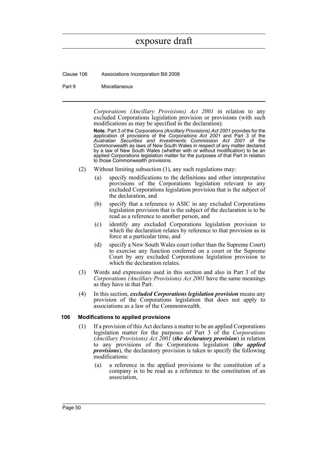Clause 106 Associations Incorporation Bill 2008

Part 9 Miscellaneous

*Corporations (Ancillary Provisions) Act 2001* in relation to any excluded Corporations legislation provision or provisions (with such modifications as may be specified in the declaration).

**Note.** Part 3 of the *Corporations (Ancillary Provisions) Act 2001* provides for the application of provisions of the *Corporations Act 2001* and Part 3 of the *Australian Securities and Investments Commission Act 2001* of the Commonwealth as laws of New South Wales in respect of any matter declared by a law of New South Wales (whether with or without modification) to be an applied Corporations legislation matter for the purposes of that Part in relation to those Commonwealth provisions.

- (2) Without limiting subsection (1), any such regulations may:
	- (a) specify modifications to the definitions and other interpretative provisions of the Corporations legislation relevant to any excluded Corporations legislation provision that is the subject of the declaration, and
	- (b) specify that a reference to ASIC in any excluded Corporations legislation provision that is the subject of the declaration is to be read as a reference to another person, and
	- (c) identify any excluded Corporations legislation provision to which the declaration relates by reference to that provision as in force at a particular time, and
	- (d) specify a New South Wales court (other than the Supreme Court) to exercise any function conferred on a court or the Supreme Court by any excluded Corporations legislation provision to which the declaration relates.
- (3) Words and expressions used in this section and also in Part 3 of the *Corporations (Ancillary Provisions) Act 2001* have the same meanings as they have in that Part.
- (4) In this section, *excluded Corporations legislation provision* means any provision of the Corporations legislation that does not apply to associations as a law of the Commonwealth.

## <span id="page-57-0"></span>**106 Modifications to applied provisions**

- (1) If a provision of this Act declares a matter to be an applied Corporations legislation matter for the purposes of Part 3 of the *Corporations (Ancillary Provisions) Act 2001* (*the declaratory provision*) in relation to any provisions of the Corporations legislation (*the applied provisions*), the declaratory provision is taken to specify the following modifications:
	- (a) a reference in the applied provisions to the constitution of a company is to be read as a reference to the constitution of an association,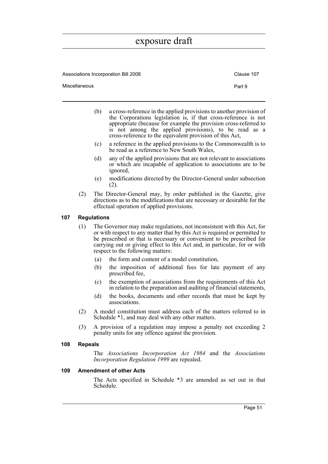| Associations Incorporation Bill 2008 | Clause 107 |
|--------------------------------------|------------|
| Miscellaneous                        | Part 9     |
|                                      |            |

- (b) a cross-reference in the applied provisions to another provision of the Corporations legislation is, if that cross-reference is not appropriate (because for example the provision cross-referred to is not among the applied provisions), to be read as a cross-reference to the equivalent provision of this Act,
- (c) a reference in the applied provisions to the Commonwealth is to be read as a reference to New South Wales,
- (d) any of the applied provisions that are not relevant to associations or which are incapable of application to associations are to be ignored,
- (e) modifications directed by the Director-General under subsection (2).
- (2) The Director-General may, by order published in the Gazette, give directions as to the modifications that are necessary or desirable for the effectual operation of applied provisions.

## <span id="page-58-0"></span>**107 Regulations**

- (1) The Governor may make regulations, not inconsistent with this Act, for or with respect to any matter that by this Act is required or permitted to be prescribed or that is necessary or convenient to be prescribed for carrying out or giving effect to this Act and, in particular, for or with respect to the following matters:
	- (a) the form and content of a model constitution,
	- (b) the imposition of additional fees for late payment of any prescribed fee,
	- (c) the exemption of associations from the requirements of this Act in relation to the preparation and auditing of financial statements,
	- (d) the books, documents and other records that must be kept by associations.
- (2) A model constitution must address each of the matters referred to in Schedule \*1, and may deal with any other matters.
- (3) A provision of a regulation may impose a penalty not exceeding 2 penalty units for any offence against the provision.

## <span id="page-58-1"></span>**108 Repeals**

The *Associations Incorporation Act 1984* and the *Associations Incorporation Regulation 1999* are repealed.

## <span id="page-58-2"></span>**109 Amendment of other Acts**

The Acts specified in Schedule \*3 are amended as set out in that Schedule.

Page 51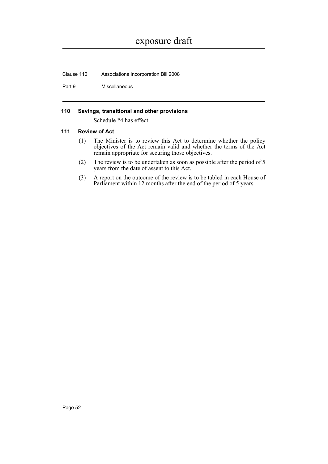Clause 110 Associations Incorporation Bill 2008

Part 9 Miscellaneous

#### <span id="page-59-0"></span>**110 Savings, transitional and other provisions**

Schedule \*4 has effect.

#### <span id="page-59-1"></span>**111 Review of Act**

- (1) The Minister is to review this Act to determine whether the policy objectives of the Act remain valid and whether the terms of the Act remain appropriate for securing those objectives.
- (2) The review is to be undertaken as soon as possible after the period of 5 years from the date of assent to this Act.
- (3) A report on the outcome of the review is to be tabled in each House of Parliament within 12 months after the end of the period of 5 years.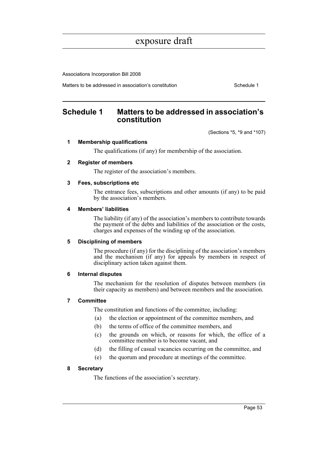Associations Incorporation Bill 2008

Matters to be addressed in association's constitution Schedule 1

# <span id="page-60-0"></span>**Schedule 1 Matters to be addressed in association's constitution**

(Sections \*5, \*9 and \*107)

#### **1 Membership qualifications**

The qualifications (if any) for membership of the association.

#### **2 Register of members**

The register of the association's members.

#### **3 Fees, subscriptions etc**

The entrance fees, subscriptions and other amounts (if any) to be paid by the association's members.

#### **4 Members' liabilities**

The liability (if any) of the association's members to contribute towards the payment of the debts and liabilities of the association or the costs, charges and expenses of the winding up of the association.

#### **5 Disciplining of members**

The procedure (if any) for the disciplining of the association's members and the mechanism (if any) for appeals by members in respect of disciplinary action taken against them.

#### **6 Internal disputes**

The mechanism for the resolution of disputes between members (in their capacity as members) and between members and the association.

## **7 Committee**

The constitution and functions of the committee, including:

- (a) the election or appointment of the committee members, and
- (b) the terms of office of the committee members, and
- (c) the grounds on which, or reasons for which, the office of a committee member is to become vacant, and
- (d) the filling of casual vacancies occurring on the committee, and
- (e) the quorum and procedure at meetings of the committee.

## **8 Secretary**

The functions of the association's secretary.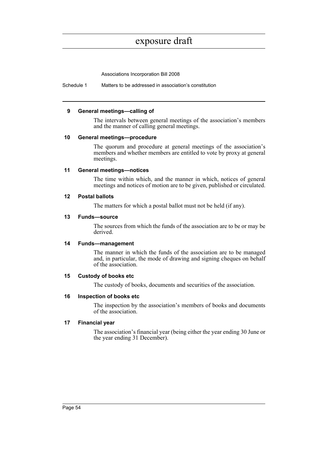Associations Incorporation Bill 2008

Schedule 1 Matters to be addressed in association's constitution

#### **9 General meetings—calling of**

The intervals between general meetings of the association's members and the manner of calling general meetings.

#### **10 General meetings—procedure**

The quorum and procedure at general meetings of the association's members and whether members are entitled to vote by proxy at general meetings.

#### **11 General meetings—notices**

The time within which, and the manner in which, notices of general meetings and notices of motion are to be given, published or circulated.

#### **12 Postal ballots**

The matters for which a postal ballot must not be held (if any).

#### **13 Funds—source**

The sources from which the funds of the association are to be or may be derived.

## **14 Funds—management**

The manner in which the funds of the association are to be managed and, in particular, the mode of drawing and signing cheques on behalf of the association.

## **15 Custody of books etc**

The custody of books, documents and securities of the association.

## **16 Inspection of books etc**

The inspection by the association's members of books and documents of the association.

## **17 Financial year**

The association's financial year (being either the year ending 30 June or the year ending 31 December).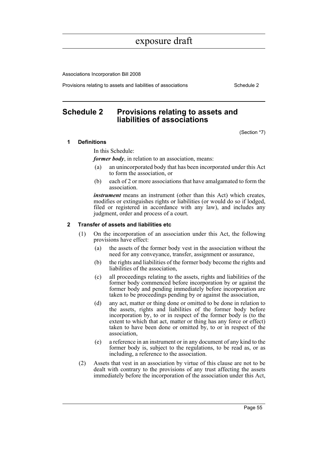Associations Incorporation Bill 2008

Provisions relating to assets and liabilities of associations Schedule 2

# <span id="page-62-0"></span>**Schedule 2 Provisions relating to assets and liabilities of associations**

(Section \*7)

#### **1 Definitions**

In this Schedule:

*former body*, in relation to an association, means:

- (a) an unincorporated body that has been incorporated under this Act to form the association, or
- (b) each of 2 or more associations that have amalgamated to form the association.

*instrument* means an instrument (other than this Act) which creates, modifies or extinguishes rights or liabilities (or would do so if lodged, filed or registered in accordance with any law), and includes any judgment, order and process of a court.

#### **2 Transfer of assets and liabilities etc**

- (1) On the incorporation of an association under this Act, the following provisions have effect:
	- (a) the assets of the former body vest in the association without the need for any conveyance, transfer, assignment or assurance,
	- (b) the rights and liabilities of the former body become the rights and liabilities of the association,
	- (c) all proceedings relating to the assets, rights and liabilities of the former body commenced before incorporation by or against the former body and pending immediately before incorporation are taken to be proceedings pending by or against the association,
	- (d) any act, matter or thing done or omitted to be done in relation to the assets, rights and liabilities of the former body before incorporation by, to or in respect of the former body is (to the extent to which that act, matter or thing has any force or effect) taken to have been done or omitted by, to or in respect of the association,
	- (e) a reference in an instrument or in any document of any kind to the former body is, subject to the regulations, to be read as, or as including, a reference to the association.
- (2) Assets that vest in an association by virtue of this clause are not to be dealt with contrary to the provisions of any trust affecting the assets immediately before the incorporation of the association under this Act,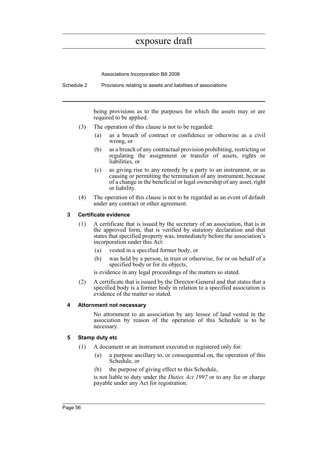Associations Incorporation Bill 2008

Schedule 2 Provisions relating to assets and liabilities of associations

being provisions as to the purposes for which the assets may or are required to be applied.

- (3) The operation of this clause is not to be regarded:
	- (a) as a breach of contract or confidence or otherwise as a civil wrong, or
	- (b) as a breach of any contractual provision prohibiting, restricting or regulating the assignment or transfer of assets, rights or liabilities, or
	- (c) as giving rise to any remedy by a party to an instrument, or as causing or permitting the termination of any instrument, because of a change in the beneficial or legal ownership of any asset, right or liability.
- (4) The operation of this clause is not to be regarded as an event of default under any contract or other agreement.

#### **3 Certificate evidence**

- (1) A certificate that is issued by the secretary of an association, that is in the approved form, that is verified by statutory declaration and that states that specified property was, immediately before the association's incorporation under this Act:
	- (a) vested in a specified former body, or
	- (b) was held by a person, in trust or otherwise, for or on behalf of a specified body or for its objects,

is evidence in any legal proceedings of the matters so stated.

(2) A certificate that is issued by the Director-General and that states that a specified body is a former body in relation to a specified association is evidence of the matter so stated.

## **4 Attornment not necessary**

No attornment to an association by any lessee of land vested in the association by reason of the operation of this Schedule is to be necessary.

#### **5 Stamp duty etc**

- (1) A document or an instrument executed or registered only for:
	- (a) a purpose ancillary to, or consequential on, the operation of this Schedule, or
	- (b) the purpose of giving effect to this Schedule,

is not liable to duty under the *Duties Act 1997* or to any fee or charge payable under any Act for registration.